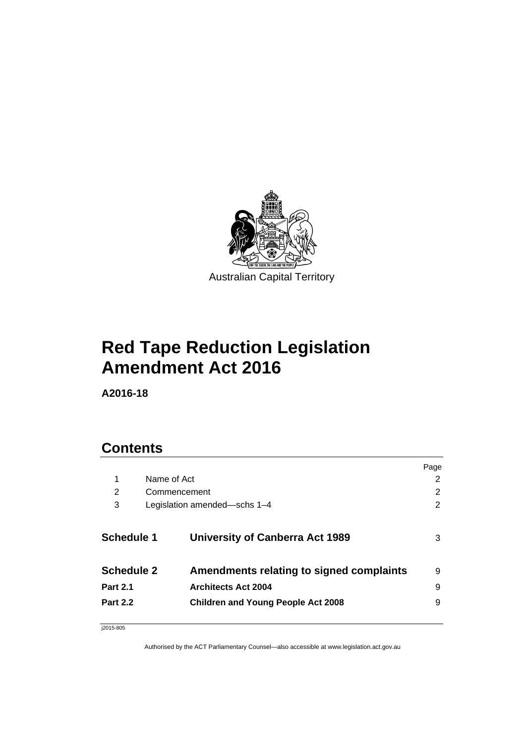

# **Red Tape Reduction Legislation Amendment Act 2016**

**A2016-18** 

# **Contents**

|                   |              |                                           | Page |
|-------------------|--------------|-------------------------------------------|------|
| 1                 | Name of Act  |                                           | 2    |
| 2                 | Commencement |                                           | 2    |
| 3                 |              | Legislation amended—schs 1-4              | 2    |
| <b>Schedule 1</b> |              | <b>University of Canberra Act 1989</b>    | 3    |
| <b>Schedule 2</b> |              | Amendments relating to signed complaints  | 9    |
| <b>Part 2.1</b>   |              | <b>Architects Act 2004</b>                | 9    |
| <b>Part 2.2</b>   |              | <b>Children and Young People Act 2008</b> | 9    |
|                   |              |                                           |      |

j2015-805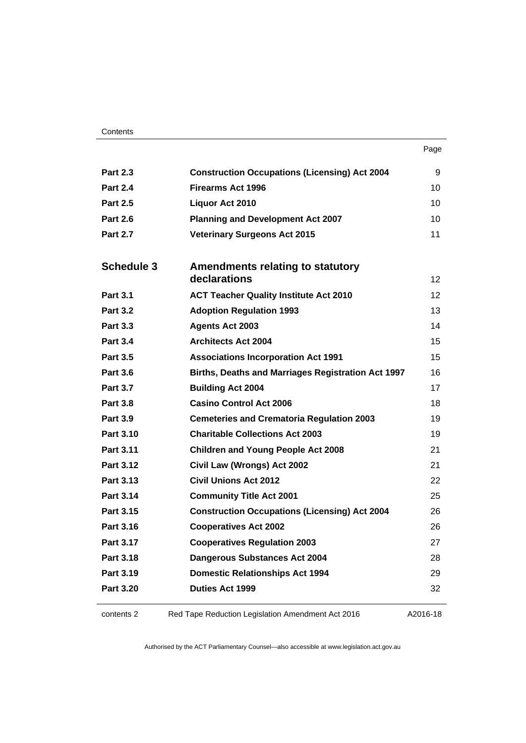| . .<br>× | ı<br>۰.<br>× |
|----------|--------------|

| <b>Part 2.3</b>   | <b>Construction Occupations (Licensing) Act 2004</b>      | 9               |
|-------------------|-----------------------------------------------------------|-----------------|
| <b>Part 2.4</b>   | <b>Firearms Act 1996</b>                                  | 10              |
| <b>Part 2.5</b>   | Liquor Act 2010                                           | 10              |
| <b>Part 2.6</b>   | <b>Planning and Development Act 2007</b>                  | 10              |
| <b>Part 2.7</b>   | <b>Veterinary Surgeons Act 2015</b>                       | 11              |
|                   |                                                           |                 |
| <b>Schedule 3</b> | Amendments relating to statutory<br>declarations          | 12              |
| <b>Part 3.1</b>   | <b>ACT Teacher Quality Institute Act 2010</b>             | 12 <sup>2</sup> |
| <b>Part 3.2</b>   | <b>Adoption Regulation 1993</b>                           | 13              |
| <b>Part 3.3</b>   | <b>Agents Act 2003</b>                                    | 14              |
| <b>Part 3.4</b>   | <b>Architects Act 2004</b>                                | 15              |
| <b>Part 3.5</b>   | <b>Associations Incorporation Act 1991</b>                | 15              |
| <b>Part 3.6</b>   | <b>Births, Deaths and Marriages Registration Act 1997</b> | 16              |
| <b>Part 3.7</b>   | <b>Building Act 2004</b>                                  | 17              |
| <b>Part 3.8</b>   | <b>Casino Control Act 2006</b>                            | 18              |
| <b>Part 3.9</b>   | <b>Cemeteries and Crematoria Regulation 2003</b>          | 19              |
| <b>Part 3.10</b>  | <b>Charitable Collections Act 2003</b>                    | 19              |
| Part 3.11         | <b>Children and Young People Act 2008</b>                 | 21              |
| <b>Part 3.12</b>  | Civil Law (Wrongs) Act 2002                               | 21              |
| Part 3.13         | <b>Civil Unions Act 2012</b>                              | 22              |
| Part 3.14         | <b>Community Title Act 2001</b>                           | 25              |
| Part 3.15         | <b>Construction Occupations (Licensing) Act 2004</b>      | 26              |
| Part 3.16         | <b>Cooperatives Act 2002</b>                              | 26              |
| Part 3.17         | <b>Cooperatives Regulation 2003</b>                       | 27              |
| Part 3.18         | Dangerous Substances Act 2004                             | 28              |
| Part 3.19         | <b>Domestic Relationships Act 1994</b>                    | 29              |
| <b>Part 3.20</b>  | <b>Duties Act 1999</b>                                    | 32              |
|                   |                                                           |                 |

contents 2 Red Tape Reduction Legislation Amendment Act 2016

A2016-18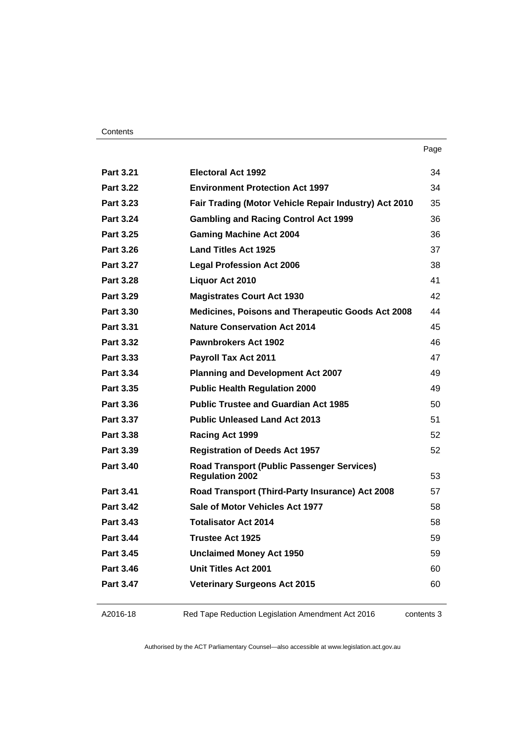| <b>Part 3.21</b> | <b>Electoral Act 1992</b>                                                   | 34 |
|------------------|-----------------------------------------------------------------------------|----|
| <b>Part 3.22</b> | <b>Environment Protection Act 1997</b>                                      | 34 |
| Part 3.23        | Fair Trading (Motor Vehicle Repair Industry) Act 2010                       | 35 |
| <b>Part 3.24</b> | <b>Gambling and Racing Control Act 1999</b>                                 | 36 |
| Part 3.25        | <b>Gaming Machine Act 2004</b>                                              | 36 |
| <b>Part 3.26</b> | <b>Land Titles Act 1925</b>                                                 | 37 |
| <b>Part 3.27</b> | <b>Legal Profession Act 2006</b>                                            | 38 |
| <b>Part 3.28</b> | Liquor Act 2010                                                             | 41 |
| Part 3.29        | <b>Magistrates Court Act 1930</b>                                           | 42 |
| <b>Part 3.30</b> | <b>Medicines, Poisons and Therapeutic Goods Act 2008</b>                    | 44 |
| Part 3.31        | <b>Nature Conservation Act 2014</b>                                         | 45 |
| <b>Part 3.32</b> | Pawnbrokers Act 1902                                                        | 46 |
| Part 3.33        | <b>Payroll Tax Act 2011</b>                                                 | 47 |
| Part 3.34        | <b>Planning and Development Act 2007</b>                                    | 49 |
| Part 3.35        | <b>Public Health Regulation 2000</b>                                        | 49 |
| Part 3.36        | <b>Public Trustee and Guardian Act 1985</b>                                 | 50 |
| Part 3.37        | <b>Public Unleased Land Act 2013</b>                                        | 51 |
| <b>Part 3.38</b> | Racing Act 1999                                                             | 52 |
| Part 3.39        | <b>Registration of Deeds Act 1957</b>                                       | 52 |
| <b>Part 3.40</b> | <b>Road Transport (Public Passenger Services)</b><br><b>Regulation 2002</b> | 53 |
| Part 3.41        | Road Transport (Third-Party Insurance) Act 2008                             | 57 |
| <b>Part 3.42</b> | Sale of Motor Vehicles Act 1977                                             | 58 |
| <b>Part 3.43</b> | <b>Totalisator Act 2014</b>                                                 | 58 |
| <b>Part 3.44</b> | <b>Trustee Act 1925</b>                                                     | 59 |
| Part 3.45        | <b>Unclaimed Money Act 1950</b>                                             | 59 |
| <b>Part 3.46</b> | Unit Titles Act 2001                                                        | 60 |
| Part 3.47        | <b>Veterinary Surgeons Act 2015</b>                                         | 60 |
|                  |                                                                             |    |

A2016-18

Red Tape Reduction Legislation Amendment Act 2016

contents 3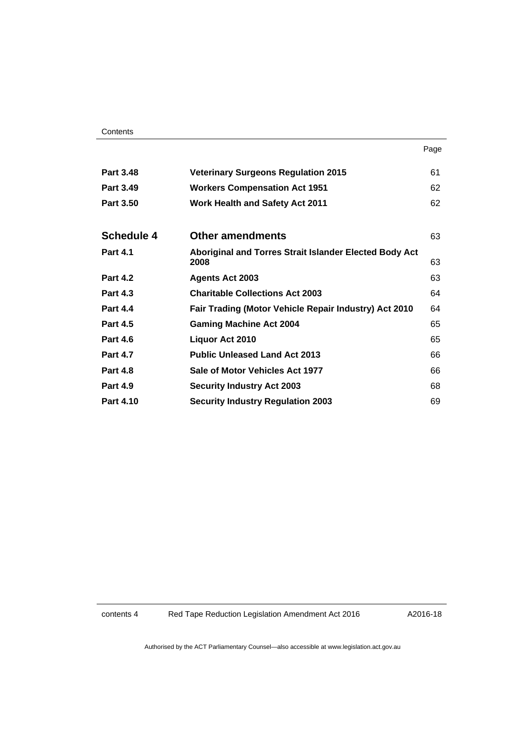| <b>Part 3.48</b>  | <b>Veterinary Surgeons Regulation 2015</b>                     | 61 |
|-------------------|----------------------------------------------------------------|----|
| <b>Part 3.49</b>  | <b>Workers Compensation Act 1951</b>                           | 62 |
| <b>Part 3.50</b>  | <b>Work Health and Safety Act 2011</b>                         | 62 |
|                   |                                                                |    |
| <b>Schedule 4</b> | <b>Other amendments</b>                                        | 63 |
| <b>Part 4.1</b>   | Aboriginal and Torres Strait Islander Elected Body Act<br>2008 | 63 |
| <b>Part 4.2</b>   | <b>Agents Act 2003</b>                                         | 63 |
| <b>Part 4.3</b>   | <b>Charitable Collections Act 2003</b>                         | 64 |
| <b>Part 4.4</b>   | Fair Trading (Motor Vehicle Repair Industry) Act 2010          | 64 |
| <b>Part 4.5</b>   | <b>Gaming Machine Act 2004</b>                                 | 65 |
| <b>Part 4.6</b>   | Liquor Act 2010                                                | 65 |
| <b>Part 4.7</b>   | <b>Public Unleased Land Act 2013</b>                           | 66 |
| <b>Part 4.8</b>   | Sale of Motor Vehicles Act 1977                                | 66 |
| <b>Part 4.9</b>   | <b>Security Industry Act 2003</b>                              | 68 |
| <b>Part 4.10</b>  | <b>Security Industry Regulation 2003</b>                       | 69 |

contents 4 Red Tape Reduction Legislation Amendment Act 2016

A2016-18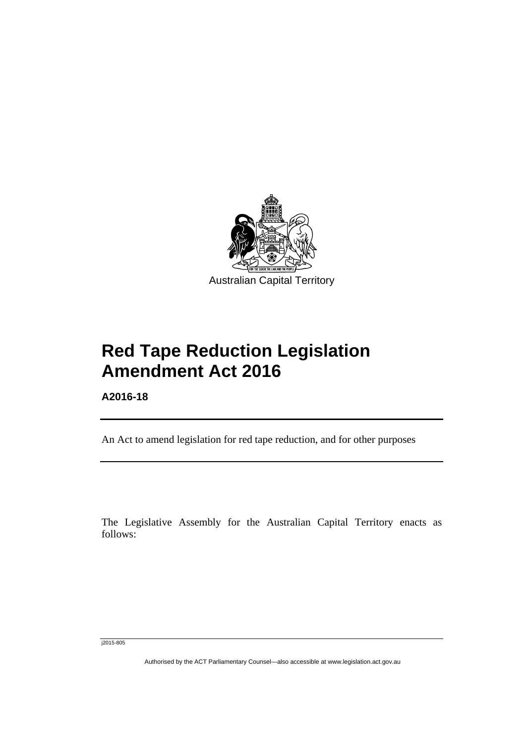

# **Red Tape Reduction Legislation Amendment Act 2016**

**A2016-18** 

l

An Act to amend legislation for red tape reduction, and for other purposes

The Legislative Assembly for the Australian Capital Territory enacts as follows:

j2015-805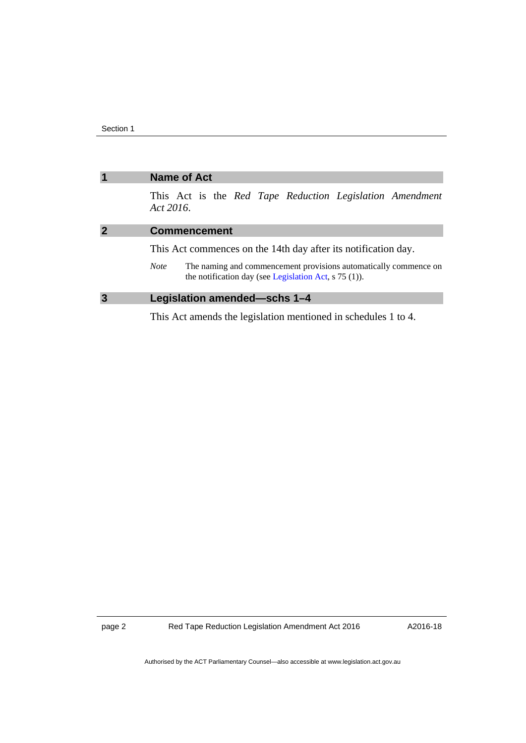<span id="page-5-2"></span><span id="page-5-1"></span><span id="page-5-0"></span>

| $\overline{1}$ | <b>Name of Act</b>                                                                                                                                 |
|----------------|----------------------------------------------------------------------------------------------------------------------------------------------------|
|                | This Act is the Red Tape Reduction Legislation Amendment<br>Act 2016.                                                                              |
| $\overline{2}$ | <b>Commencement</b>                                                                                                                                |
|                | This Act commences on the 14th day after its notification day.                                                                                     |
|                | The naming and commencement provisions automatically commence on<br><b>Note</b><br>the notification day (see Legislation Act, $\frac{5}{75}$ (1)). |
| $\overline{3}$ | Legislation amended-schs 1-4                                                                                                                       |
|                | This Act amends the legislation mentioned in schedules 1 to 4.                                                                                     |

page 2 Red Tape Reduction Legislation Amendment Act 2016

A2016-18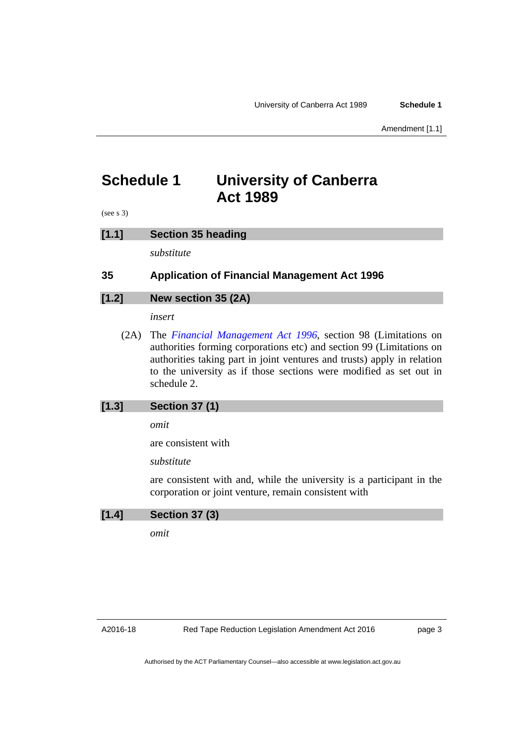Amendment [1.1]

## <span id="page-6-0"></span>**Schedule 1 University of Canberra Act 1989**

(see s 3)

### **[1.1] Section 35 heading**

*substitute* 

## **35 Application of Financial Management Act 1996**

## **[1.2] New section 35 (2A)**

*insert* 

 (2A) The *[Financial Management Act 1996](http://www.legislation.act.gov.au/a/1996-22)*, section 98 (Limitations on authorities forming corporations etc) and section 99 (Limitations on authorities taking part in joint ventures and trusts) apply in relation to the university as if those sections were modified as set out in schedule 2.

### **[1.3] Section 37 (1)**

*omit* 

are consistent with

*substitute* 

are consistent with and, while the university is a participant in the corporation or joint venture, remain consistent with

### **[1.4] Section 37 (3)**

*omit* 

page 3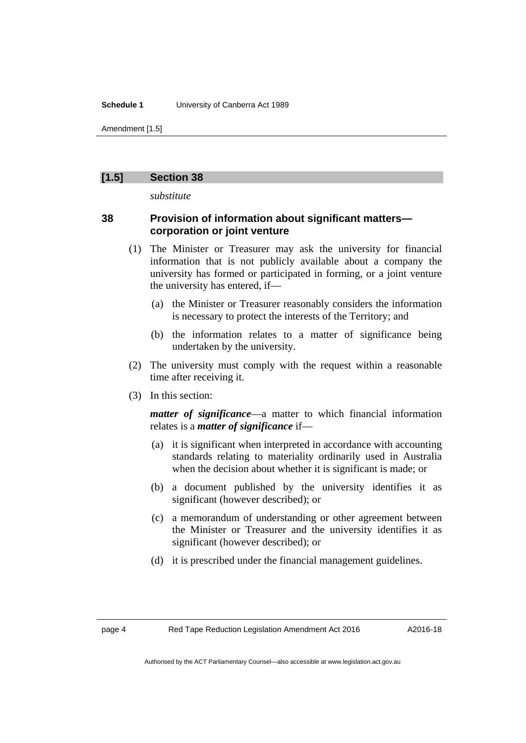#### **Schedule 1** University of Canberra Act 1989

Amendment [1.5]

### **[1.5] Section 38**

*substitute* 

## **38 Provision of information about significant matters corporation or joint venture**

- (1) The Minister or Treasurer may ask the university for financial information that is not publicly available about a company the university has formed or participated in forming, or a joint venture the university has entered, if—
	- (a) the Minister or Treasurer reasonably considers the information is necessary to protect the interests of the Territory; and
	- (b) the information relates to a matter of significance being undertaken by the university.
- (2) The university must comply with the request within a reasonable time after receiving it.
- (3) In this section:

*matter of significance*—a matter to which financial information relates is a *matter of significance* if—

- (a) it is significant when interpreted in accordance with accounting standards relating to materiality ordinarily used in Australia when the decision about whether it is significant is made; or
- (b) a document published by the university identifies it as significant (however described); or
- (c) a memorandum of understanding or other agreement between the Minister or Treasurer and the university identifies it as significant (however described); or
- (d) it is prescribed under the financial management guidelines.

A2016-18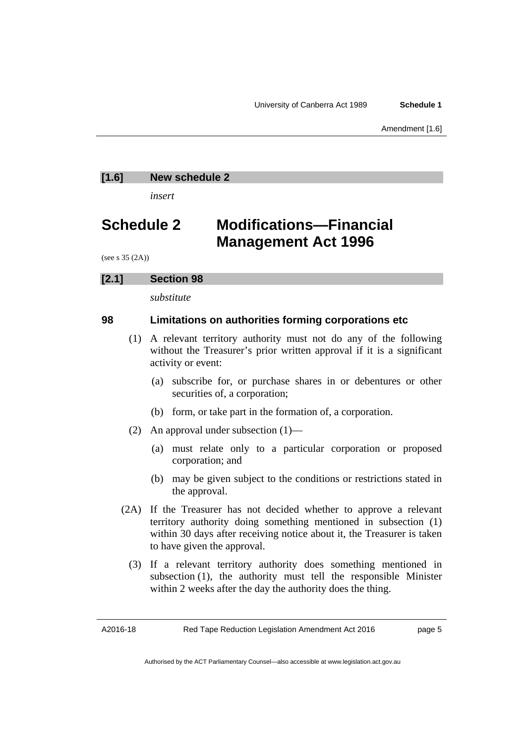Amendment [1.6]

## **[1.6] New schedule 2**

*insert* 

## **Schedule 2 Modifications—Financial Management Act 1996**

(see s 35 (2A))

## **[2.1] Section 98**

*substitute* 

## **98 Limitations on authorities forming corporations etc**

- (1) A relevant territory authority must not do any of the following without the Treasurer's prior written approval if it is a significant activity or event:
	- (a) subscribe for, or purchase shares in or debentures or other securities of, a corporation;
	- (b) form, or take part in the formation of, a corporation.
- (2) An approval under subsection (1)—
	- (a) must relate only to a particular corporation or proposed corporation; and
	- (b) may be given subject to the conditions or restrictions stated in the approval.
- (2A) If the Treasurer has not decided whether to approve a relevant territory authority doing something mentioned in subsection (1) within 30 days after receiving notice about it, the Treasurer is taken to have given the approval.
	- (3) If a relevant territory authority does something mentioned in subsection (1), the authority must tell the responsible Minister within 2 weeks after the day the authority does the thing.

A2016-18

page 5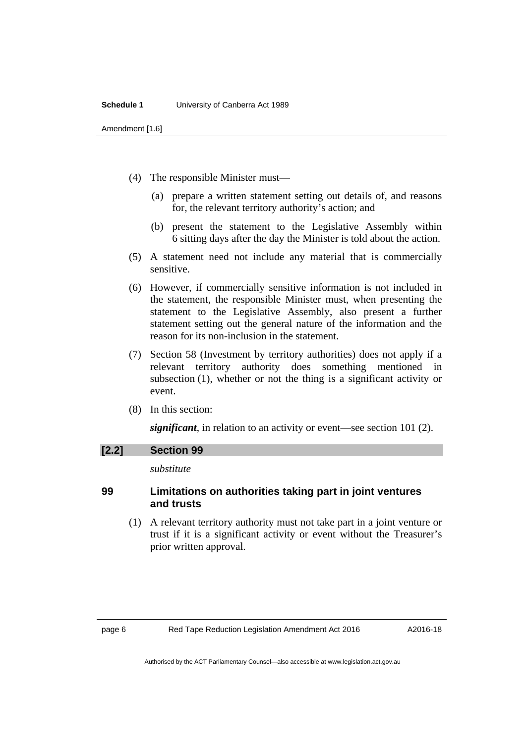#### **Schedule 1** University of Canberra Act 1989

Amendment [1.6]

- (4) The responsible Minister must—
	- (a) prepare a written statement setting out details of, and reasons for, the relevant territory authority's action; and
	- (b) present the statement to the Legislative Assembly within 6 sitting days after the day the Minister is told about the action.
- (5) A statement need not include any material that is commercially sensitive.
- (6) However, if commercially sensitive information is not included in the statement, the responsible Minister must, when presenting the statement to the Legislative Assembly, also present a further statement setting out the general nature of the information and the reason for its non-inclusion in the statement.
- (7) Section 58 (Investment by territory authorities) does not apply if a relevant territory authority does something mentioned in subsection (1), whether or not the thing is a significant activity or event.
- (8) In this section:

*significant*, in relation to an activity or event—see section 101 (2).

#### **[2.2] Section 99**

*substitute* 

## **99 Limitations on authorities taking part in joint ventures and trusts**

 (1) A relevant territory authority must not take part in a joint venture or trust if it is a significant activity or event without the Treasurer's prior written approval.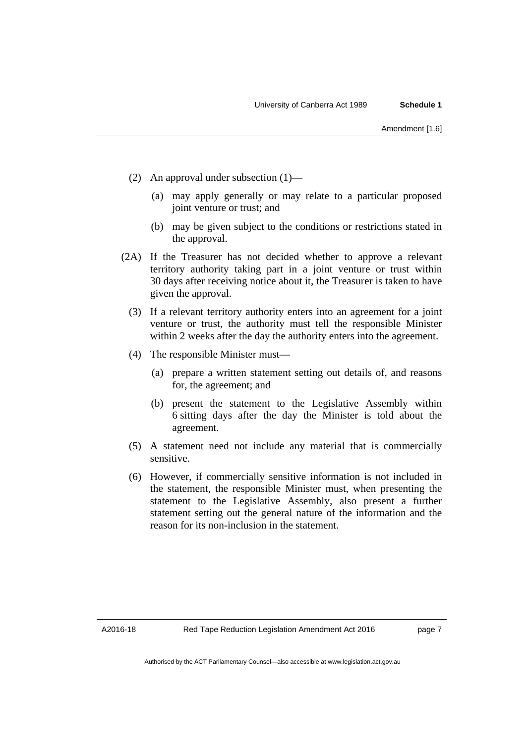- (2) An approval under subsection (1)—
	- (a) may apply generally or may relate to a particular proposed joint venture or trust; and
	- (b) may be given subject to the conditions or restrictions stated in the approval.
- (2A) If the Treasurer has not decided whether to approve a relevant territory authority taking part in a joint venture or trust within 30 days after receiving notice about it, the Treasurer is taken to have given the approval.
	- (3) If a relevant territory authority enters into an agreement for a joint venture or trust, the authority must tell the responsible Minister within 2 weeks after the day the authority enters into the agreement.
	- (4) The responsible Minister must—
		- (a) prepare a written statement setting out details of, and reasons for, the agreement; and
		- (b) present the statement to the Legislative Assembly within 6 sitting days after the day the Minister is told about the agreement.
	- (5) A statement need not include any material that is commercially sensitive.
	- (6) However, if commercially sensitive information is not included in the statement, the responsible Minister must, when presenting the statement to the Legislative Assembly, also present a further statement setting out the general nature of the information and the reason for its non-inclusion in the statement.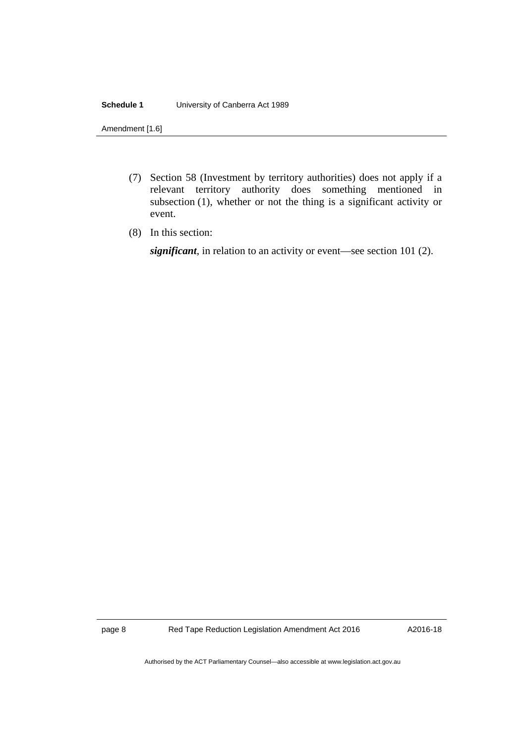#### **Schedule 1** University of Canberra Act 1989

Amendment [1.6]

- (7) Section 58 (Investment by territory authorities) does not apply if a relevant territory authority does something mentioned in subsection (1), whether or not the thing is a significant activity or event.
- (8) In this section:

*significant*, in relation to an activity or event—see section 101 (2).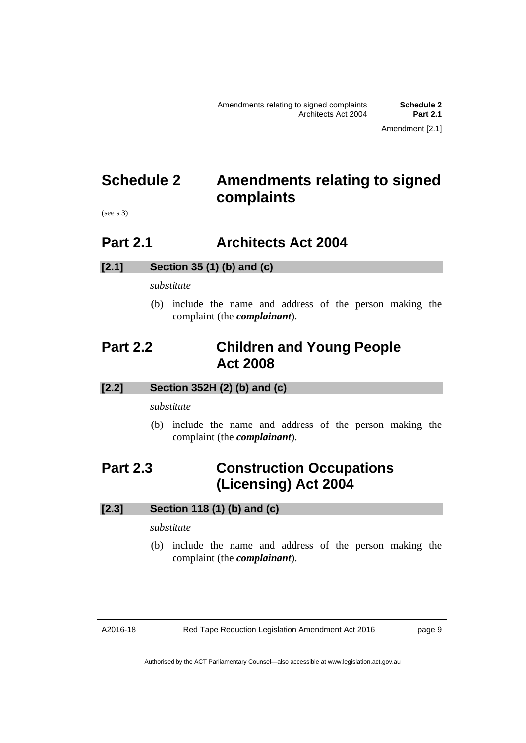## <span id="page-12-0"></span>**Schedule 2 Amendments relating to signed complaints**

(see s 3)

## <span id="page-12-1"></span>**Part 2.1 Architects Act 2004**

## **[2.1] Section 35 (1) (b) and (c)**

*substitute* 

 (b) include the name and address of the person making the complaint (the *complainant*).

## <span id="page-12-2"></span>**Part 2.2 Children and Young People Act 2008**

## **[2.2] Section 352H (2) (b) and (c)**

*substitute* 

 (b) include the name and address of the person making the complaint (the *complainant*).

## <span id="page-12-3"></span>**Part 2.3 Construction Occupations (Licensing) Act 2004**

## **[2.3] Section 118 (1) (b) and (c)**

*substitute* 

 (b) include the name and address of the person making the complaint (the *complainant*).

A2016-18

page 9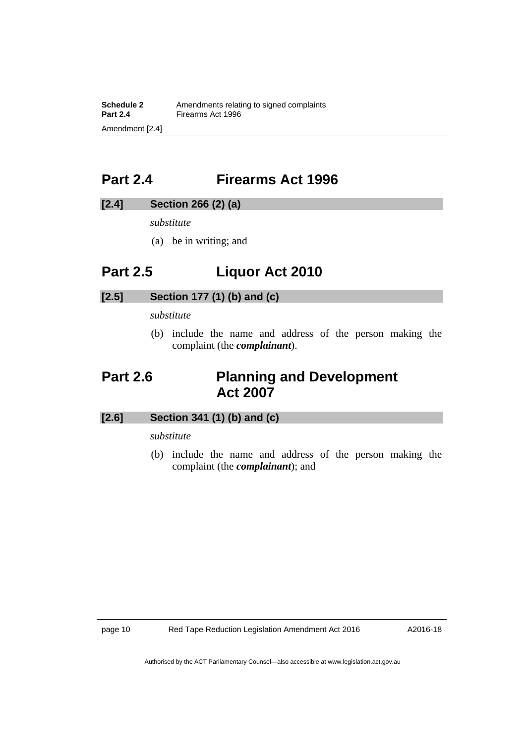**Schedule 2** Amendments relating to signed complaints<br>**Part 2.4** Firearms Act 1996 **Firearms Act 1996** Amendment [2.4]

## <span id="page-13-0"></span>**Part 2.4 Firearms Act 1996**

## **[2.4] Section 266 (2) (a)**

*substitute* 

(a) be in writing; and

## <span id="page-13-1"></span>**Part 2.5 Liquor Act 2010**

## **[2.5] Section 177 (1) (b) and (c)**

*substitute* 

 (b) include the name and address of the person making the complaint (the *complainant*).

## <span id="page-13-2"></span>**Part 2.6 Planning and Development Act 2007**

## **[2.6] Section 341 (1) (b) and (c)**

## *substitute*

 (b) include the name and address of the person making the complaint (the *complainant*); and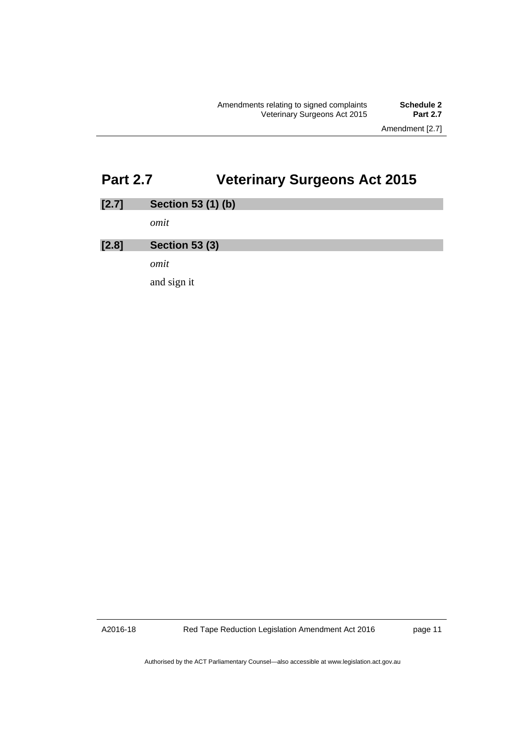Amendment [2.7]

# <span id="page-14-0"></span>**Part 2.7 Veterinary Surgeons Act 2015**

| [2.7] | Section 53 (1) (b)    |
|-------|-----------------------|
|       | omit                  |
| [2.8] | <b>Section 53 (3)</b> |
|       | omit                  |
|       | and sign it           |

A2016-18

Red Tape Reduction Legislation Amendment Act 2016

page 11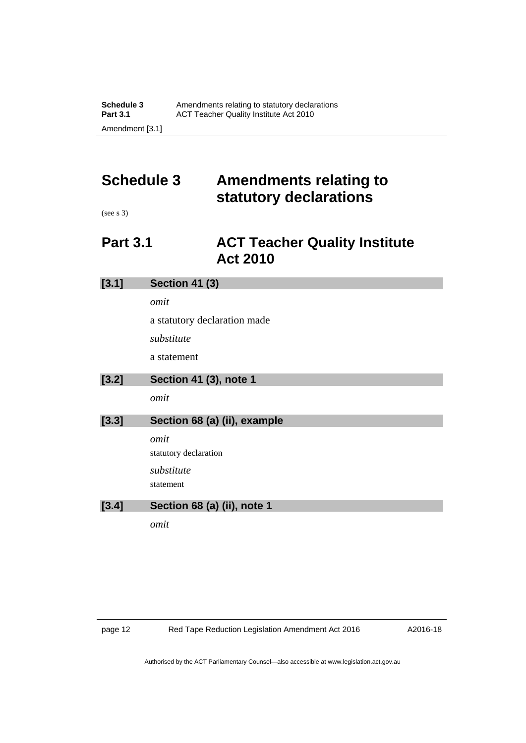# <span id="page-15-0"></span>**Schedule 3 Amendments relating to statutory declarations**

(see s 3)

## <span id="page-15-1"></span>**Part 3.1 ACT Teacher Quality Institute Act 2010**

| [3.1] | <b>Section 41 (3)</b>         |  |  |  |
|-------|-------------------------------|--|--|--|
|       | omit                          |  |  |  |
|       | a statutory declaration made  |  |  |  |
|       | substitute                    |  |  |  |
|       | a statement                   |  |  |  |
| [3.2] | Section 41 (3), note 1        |  |  |  |
|       | omit                          |  |  |  |
| [3.3] | Section 68 (a) (ii), example  |  |  |  |
|       |                               |  |  |  |
|       | omit<br>statutory declaration |  |  |  |
|       | substitute                    |  |  |  |
|       | statement                     |  |  |  |
| [3.4] | Section 68 (a) (ii), note 1   |  |  |  |

A2016-18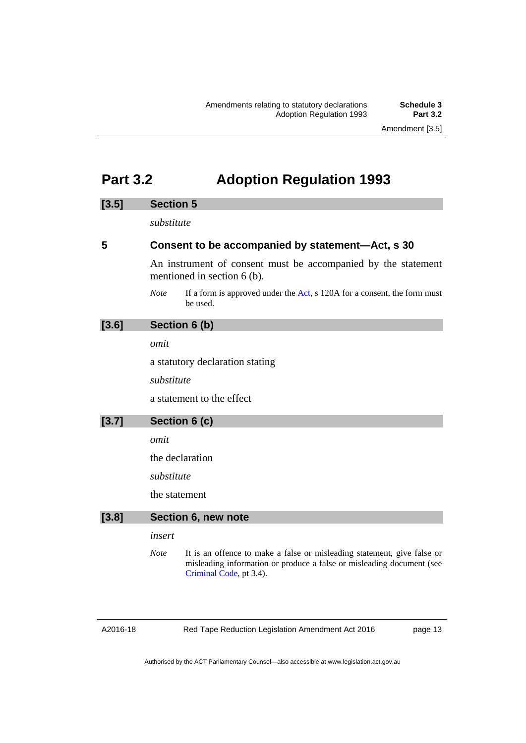## <span id="page-16-0"></span>**Part 3.2 Adoption Regulation 1993**

### **[3.5] Section 5**

*substitute* 

### **5 Consent to be accompanied by statement—Act, s 30**

An instrument of consent must be accompanied by the statement mentioned in section 6 (b).

*Note* If a form is approved under the [Act](http://www.legislation.act.gov.au/a/1993-20/default.asp), s 120A for a consent, the form must be used.

## **[3.6] Section 6 (b)**

*omit* 

a statutory declaration stating

*substitute* 

a statement to the effect

**[3.7] Section 6 (c)** 

*omit* 

the declaration

*substitute* 

the statement

#### **[3.8] Section 6, new note**

### *insert*

*Note* It is an offence to make a false or misleading statement, give false or misleading information or produce a false or misleading document (see [Criminal Code](http://www.legislation.act.gov.au/a/2002-51), pt 3.4).

A2016-18

Red Tape Reduction Legislation Amendment Act 2016

page 13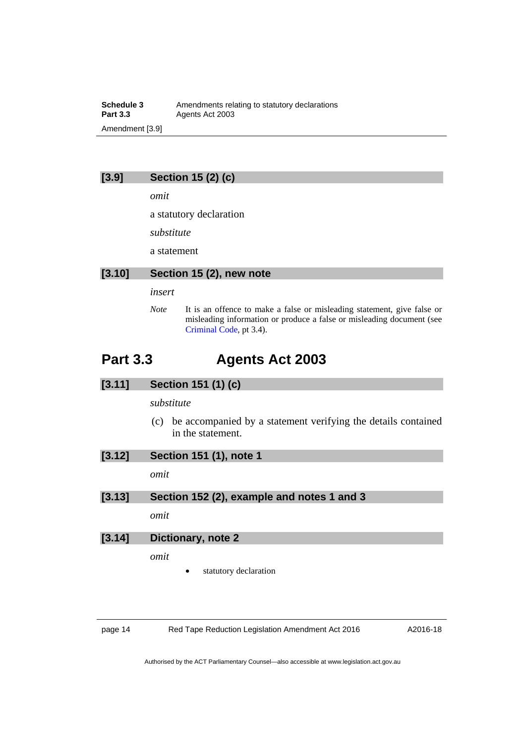**Schedule 3**<br>**Part 3.3** Agents Act 2003 Agents Act 2003 Amendment [3.9]

## **[3.9] Section 15 (2) (c)**

*omit* 

a statutory declaration

*substitute* 

a statement

### **[3.10] Section 15 (2), new note**

### *insert*

*Note* It is an offence to make a false or misleading statement, give false or misleading information or produce a false or misleading document (see [Criminal Code](http://www.legislation.act.gov.au/a/2002-51), pt 3.4).

## <span id="page-17-0"></span>**Part 3.3 Agents Act 2003**

## **[3.11] Section 151 (1) (c)**

### *substitute*

 (c) be accompanied by a statement verifying the details contained in the statement.

| [3.12] | Section 151 (1), note 1                    |  |
|--------|--------------------------------------------|--|
|        | omit                                       |  |
| [3.13] | Section 152 (2), example and notes 1 and 3 |  |
|        | omit                                       |  |
| [3.14] | Dictionary, note 2                         |  |
|        | omit                                       |  |

statutory declaration

page 14 Red Tape Reduction Legislation Amendment Act 2016

A2016-18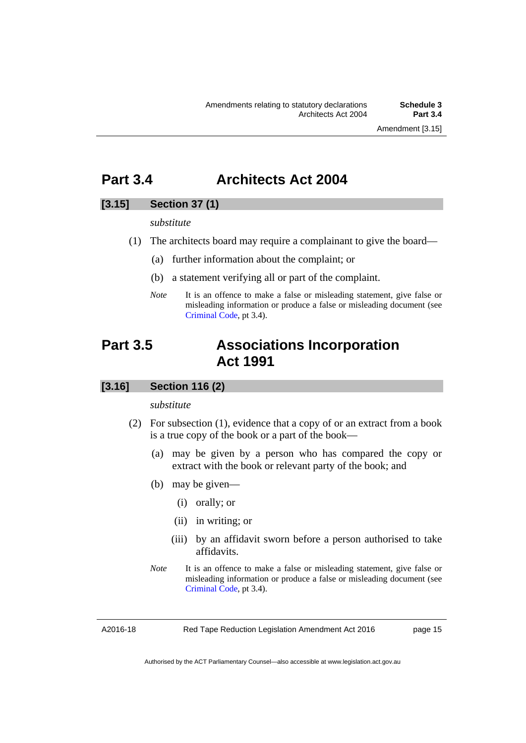Amendment [3.15]

## <span id="page-18-0"></span>**Part 3.4 Architects Act 2004**

## **[3.15] Section 37 (1)**

*substitute* 

- (1) The architects board may require a complainant to give the board—
	- (a) further information about the complaint; or
	- (b) a statement verifying all or part of the complaint.
	- *Note* It is an offence to make a false or misleading statement, give false or misleading information or produce a false or misleading document (see [Criminal Code](http://www.legislation.act.gov.au/a/2002-51), pt 3.4).

## <span id="page-18-1"></span>**Part 3.5 Associations Incorporation Act 1991**

## **[3.16] Section 116 (2)**

### *substitute*

- (2) For subsection (1), evidence that a copy of or an extract from a book is a true copy of the book or a part of the book—
	- (a) may be given by a person who has compared the copy or extract with the book or relevant party of the book; and
	- (b) may be given—
		- (i) orally; or
		- (ii) in writing; or
		- (iii) by an affidavit sworn before a person authorised to take affidavits.
	- *Note* It is an offence to make a false or misleading statement, give false or misleading information or produce a false or misleading document (see [Criminal Code](http://www.legislation.act.gov.au/a/2002-51), pt 3.4).

A2016-18

Red Tape Reduction Legislation Amendment Act 2016

page 15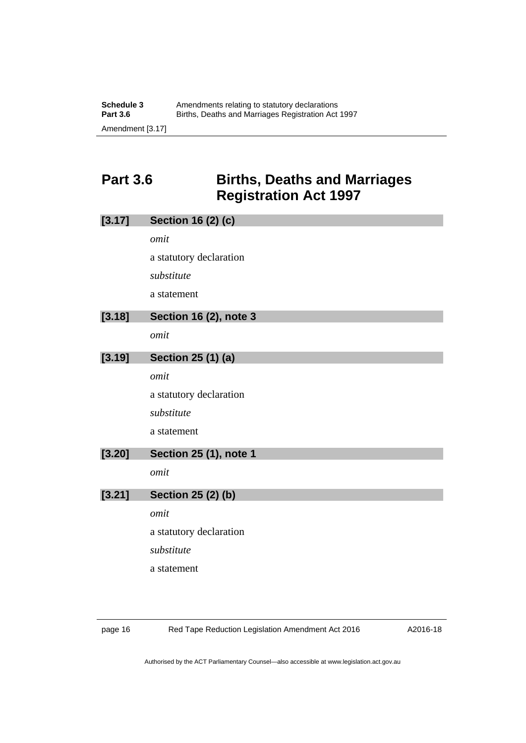## <span id="page-19-0"></span>**Part 3.6 Births, Deaths and Marriages Registration Act 1997**

| [3.17] | <b>Section 16 (2) (c)</b>     |
|--------|-------------------------------|
|        | omit                          |
|        | a statutory declaration       |
|        | substitute                    |
|        | a statement                   |
| [3.18] | <b>Section 16 (2), note 3</b> |
|        | omit                          |
| [3.19] | Section 25 (1) (a)            |
|        | omit                          |
|        | a statutory declaration       |
|        | substitute                    |
|        | a statement                   |
| [3.20] | <b>Section 25 (1), note 1</b> |
|        | omit                          |
| [3.21] | <b>Section 25 (2) (b)</b>     |
|        | omit                          |
|        | a statutory declaration       |
|        | substitute                    |
|        | a statement                   |
|        |                               |

page 16 Red Tape Reduction Legislation Amendment Act 2016

A2016-18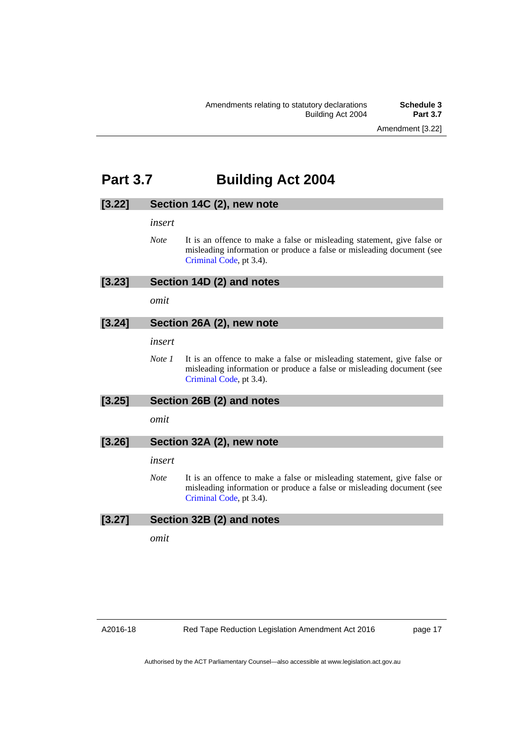Amendment [3.22]

## <span id="page-20-0"></span>**Part 3.7 Building Act 2004**

### **[3.22] Section 14C (2), new note**

*insert* 

*Note* It is an offence to make a false or misleading statement, give false or misleading information or produce a false or misleading document (see [Criminal Code](http://www.legislation.act.gov.au/a/2002-51), pt 3.4).

## **[3.23] Section 14D (2) and notes**

*omit* 

## **[3.24] Section 26A (2), new note**

*insert* 

*Note 1* It is an offence to make a false or misleading statement, give false or misleading information or produce a false or misleading document (see [Criminal Code](http://www.legislation.act.gov.au/a/2002-51), pt 3.4).

## **[3.25] Section 26B (2) and notes**

*omit* 

### **[3.26] Section 32A (2), new note**

*insert* 

*Note* It is an offence to make a false or misleading statement, give false or misleading information or produce a false or misleading document (see [Criminal Code](http://www.legislation.act.gov.au/a/2002-51), pt 3.4).

### **[3.27] Section 32B (2) and notes**

*omit* 

page 17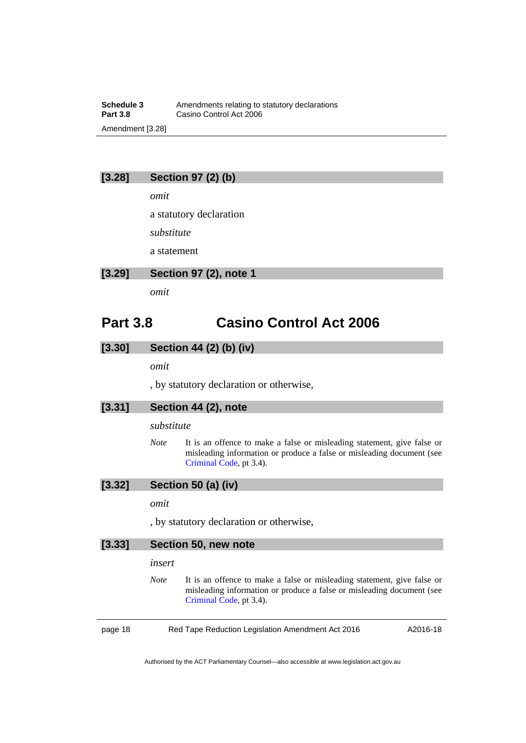### **Schedule 3**<br>**Part 3.8** Casino Control Act 2006<br>**Part 3.8** Casino Control Act 2006 **Casino Control Act 2006** Amendment [3.28]

## **[3.28] Section 97 (2) (b)**

*omit* 

a statutory declaration

*substitute* 

a statement

### **[3.29] Section 97 (2), note 1**

*omit* 

## <span id="page-21-0"></span>**Part 3.8 Casino Control Act 2006**

### **[3.30] Section 44 (2) (b) (iv)**

*omit* 

, by statutory declaration or otherwise,

### **[3.31] Section 44 (2), note**

*substitute* 

*Note* It is an offence to make a false or misleading statement, give false or misleading information or produce a false or misleading document (see [Criminal Code](http://www.legislation.act.gov.au/a/2002-51), pt 3.4).

## **[3.32] Section 50 (a) (iv)**

## *omit*

, by statutory declaration or otherwise,

| [3.33]  |             | Section 50, new note                                                                                                                                                        |          |
|---------|-------------|-----------------------------------------------------------------------------------------------------------------------------------------------------------------------------|----------|
|         | insert      |                                                                                                                                                                             |          |
|         | <b>Note</b> | It is an offence to make a false or misleading statement, give false or<br>misleading information or produce a false or misleading document (see<br>Criminal Code, pt 3.4). |          |
| page 18 |             | Red Tape Reduction Legislation Amendment Act 2016                                                                                                                           | A2016-18 |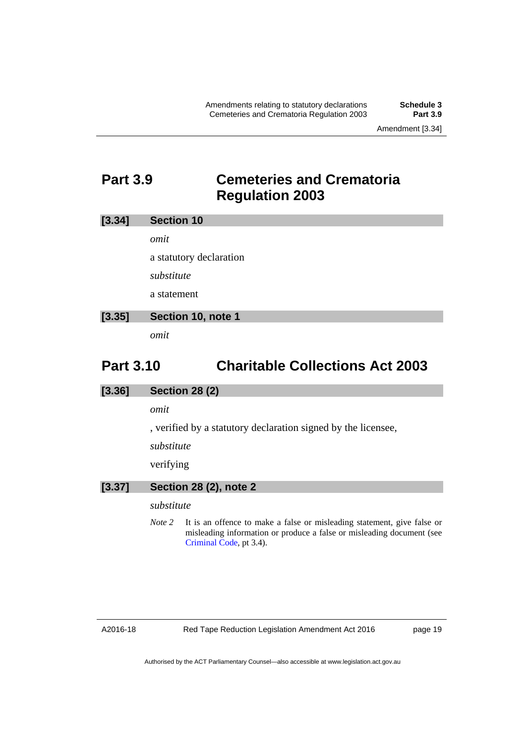Amendment [3.34]

## <span id="page-22-0"></span>**Part 3.9 Cemeteries and Crematoria Regulation 2003**

| [3.34]<br><b>Section 10</b> |  |
|-----------------------------|--|
|-----------------------------|--|

*omit* 

a statutory declaration

*substitute* 

a statement

## **[3.35] Section 10, note 1**

*omit* 

## <span id="page-22-1"></span>**Part 3.10 Charitable Collections Act 2003**

### **[3.36] Section 28 (2)**

*omit* 

, verified by a statutory declaration signed by the licensee,

*substitute* 

verifying

## **[3.37] Section 28 (2), note 2**

### *substitute*

*Note* 2 It is an offence to make a false or misleading statement, give false or misleading information or produce a false or misleading document (see [Criminal Code](http://www.legislation.act.gov.au/a/2002-51), pt 3.4).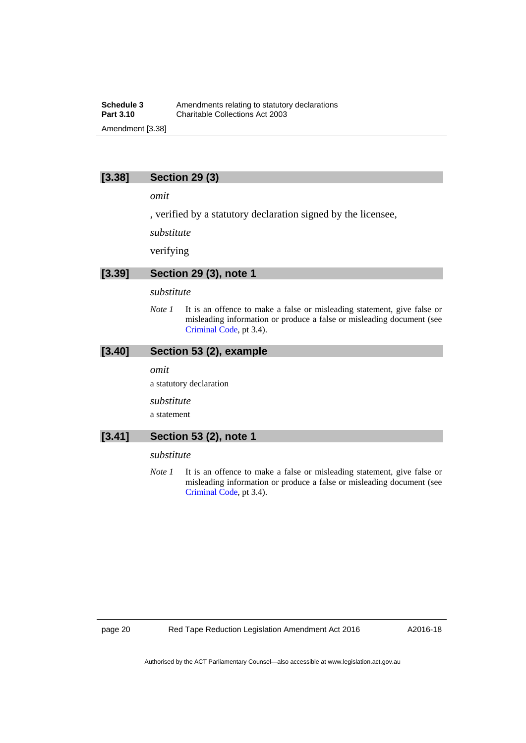### **Schedule 3**<br>**Part 3.10** Charitable Collections Act 2003 **Part 3.10** Charitable Collections Act 2003 Amendment [3.38]

## **[3.38] Section 29 (3)**

*omit* 

, verified by a statutory declaration signed by the licensee,

*substitute* 

verifying

### **[3.39] Section 29 (3), note 1**

### *substitute*

*Note 1* It is an offence to make a false or misleading statement, give false or misleading information or produce a false or misleading document (see [Criminal Code](http://www.legislation.act.gov.au/a/2002-51), pt 3.4).

### **[3.40] Section 53 (2), example**

#### *omit*

a statutory declaration

*substitute* 

a statement

### **[3.41] Section 53 (2), note 1**

#### *substitute*

*Note 1* It is an offence to make a false or misleading statement, give false or misleading information or produce a false or misleading document (see [Criminal Code](http://www.legislation.act.gov.au/a/2002-51), pt 3.4).

A2016-18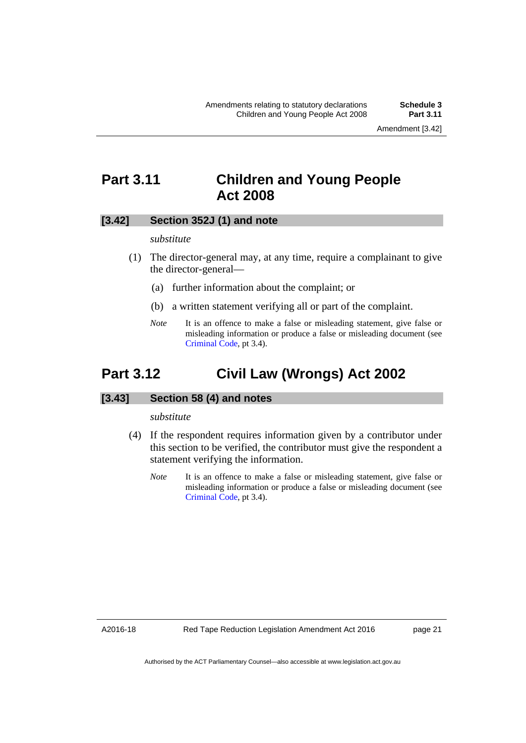## <span id="page-24-0"></span>**Part 3.11 Children and Young People Act 2008**

### **[3.42] Section 352J (1) and note**

#### *substitute*

- (1) The director-general may, at any time, require a complainant to give the director-general—
	- (a) further information about the complaint; or
	- (b) a written statement verifying all or part of the complaint.
	- *Note* It is an offence to make a false or misleading statement, give false or misleading information or produce a false or misleading document (see [Criminal Code](http://www.legislation.act.gov.au/a/2002-51), pt 3.4).

## <span id="page-24-1"></span>**Part 3.12 Civil Law (Wrongs) Act 2002**

### **[3.43] Section 58 (4) and notes**

#### *substitute*

- (4) If the respondent requires information given by a contributor under this section to be verified, the contributor must give the respondent a statement verifying the information.
	- *Note* It is an offence to make a false or misleading statement, give false or misleading information or produce a false or misleading document (see [Criminal Code](http://www.legislation.act.gov.au/a/2002-51), pt 3.4).

A2016-18

page 21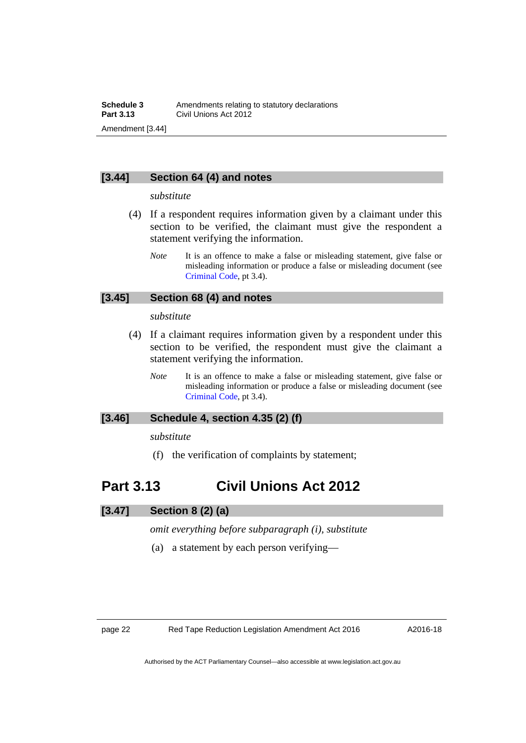## **[3.44] Section 64 (4) and notes**

#### *substitute*

- (4) If a respondent requires information given by a claimant under this section to be verified, the claimant must give the respondent a statement verifying the information.
	- *Note* It is an offence to make a false or misleading statement, give false or misleading information or produce a false or misleading document (see [Criminal Code](http://www.legislation.act.gov.au/a/2002-51), pt 3.4).

## **[3.45] Section 68 (4) and notes**

#### *substitute*

- (4) If a claimant requires information given by a respondent under this section to be verified, the respondent must give the claimant a statement verifying the information.
	- *Note* It is an offence to make a false or misleading statement, give false or misleading information or produce a false or misleading document (see [Criminal Code](http://www.legislation.act.gov.au/a/2002-51), pt 3.4).

## **[3.46] Schedule 4, section 4.35 (2) (f)**

### *substitute*

(f) the verification of complaints by statement;

## <span id="page-25-0"></span>**Part 3.13 Civil Unions Act 2012**

## **[3.47] Section 8 (2) (a)**

*omit everything before subparagraph (i), substitute* 

(a) a statement by each person verifying—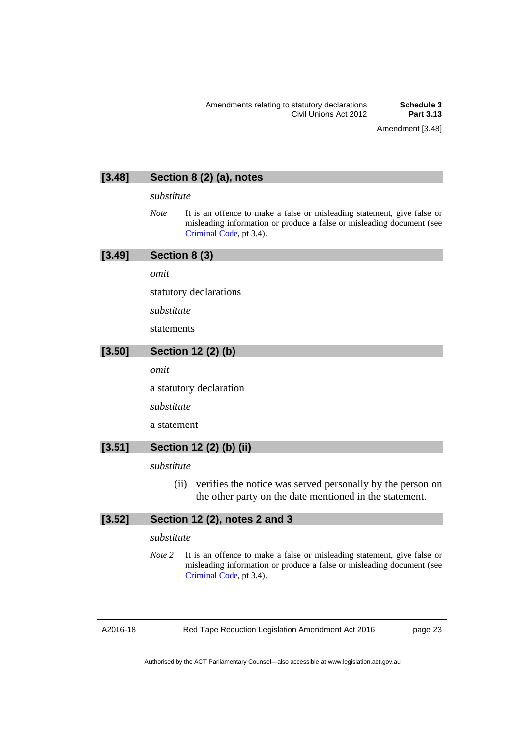Amendment [3.48]

## **[3.48] Section 8 (2) (a), notes**

#### *substitute*

*Note* It is an offence to make a false or misleading statement, give false or misleading information or produce a false or misleading document (see [Criminal Code](http://www.legislation.act.gov.au/a/2002-51), pt 3.4).

## **[3.49] Section 8 (3)**

*omit* 

statutory declarations

*substitute* 

statements

## **[3.50] Section 12 (2) (b)**

*omit* 

a statutory declaration

*substitute* 

a statement

## **[3.51] Section 12 (2) (b) (ii)**

*substitute* 

 (ii) verifies the notice was served personally by the person on the other party on the date mentioned in the statement.

## **[3.52] Section 12 (2), notes 2 and 3**

### *substitute*

*Note 2* It is an offence to make a false or misleading statement, give false or misleading information or produce a false or misleading document (see [Criminal Code](http://www.legislation.act.gov.au/a/2002-51), pt 3.4).

A2016-18

Red Tape Reduction Legislation Amendment Act 2016

page 23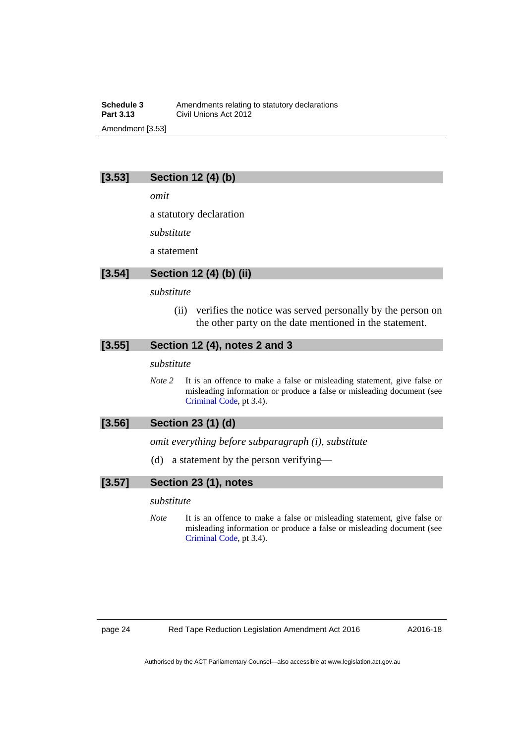### **Schedule 3**<br>**Part 3.13** Civil Unions Act 2012 **Part 3.13** Civil Unions Act 2012 Amendment [3.53]

## **[3.53] Section 12 (4) (b)**

*omit* 

a statutory declaration

*substitute* 

a statement

### **[3.54] Section 12 (4) (b) (ii)**

#### *substitute*

 (ii) verifies the notice was served personally by the person on the other party on the date mentioned in the statement.

### **[3.55] Section 12 (4), notes 2 and 3**

#### *substitute*

*Note* 2 It is an offence to make a false or misleading statement, give false or misleading information or produce a false or misleading document (see [Criminal Code](http://www.legislation.act.gov.au/a/2002-51), pt 3.4).

## **[3.56] Section 23 (1) (d)**

*omit everything before subparagraph (i), substitute* 

(d) a statement by the person verifying—

### **[3.57] Section 23 (1), notes**

### *substitute*

*Note* It is an offence to make a false or misleading statement, give false or misleading information or produce a false or misleading document (see [Criminal Code](http://www.legislation.act.gov.au/a/2002-51), pt 3.4).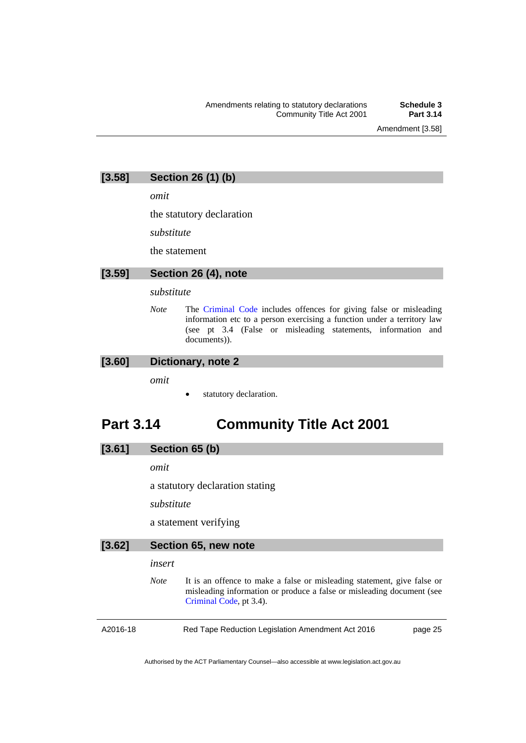Amendment [3.58]

## **[3.58] Section 26 (1) (b)**

*omit* 

the statutory declaration

*substitute* 

the statement

### **[3.59] Section 26 (4), note**

#### *substitute*

*Note* The [Criminal Code](http://www.legislation.act.gov.au/a/2002-51) includes offences for giving false or misleading information etc to a person exercising a function under a territory law (see pt 3.4 (False or misleading statements, information and documents)).

### **[3.60] Dictionary, note 2**

*omit* 

statutory declaration.

## <span id="page-28-0"></span>**Part 3.14 Community Title Act 2001**

## **[3.61] Section 65 (b)**

*omit* 

a statutory declaration stating

*substitute* 

a statement verifying

| [3.62]   | Section 65, new note |                                                                                                                                                                             |  |
|----------|----------------------|-----------------------------------------------------------------------------------------------------------------------------------------------------------------------------|--|
|          | insert               |                                                                                                                                                                             |  |
|          | <b>Note</b>          | It is an offence to make a false or misleading statement, give false or<br>misleading information or produce a false or misleading document (see<br>Criminal Code, pt 3.4). |  |
| A2016-18 |                      | Red Tape Reduction Legislation Amendment Act 2016<br>page 25                                                                                                                |  |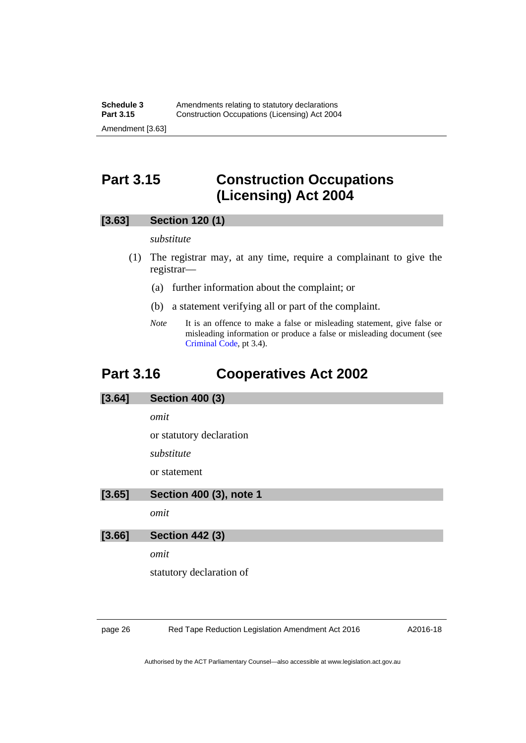## <span id="page-29-0"></span>**Part 3.15 Construction Occupations (Licensing) Act 2004**

### **[3.63] Section 120 (1)**

### *substitute*

- (1) The registrar may, at any time, require a complainant to give the registrar—
	- (a) further information about the complaint; or
	- (b) a statement verifying all or part of the complaint.
	- *Note* It is an offence to make a false or misleading statement, give false or misleading information or produce a false or misleading document (see [Criminal Code](http://www.legislation.act.gov.au/a/2002-51), pt 3.4).

## <span id="page-29-1"></span>**Part 3.16 Cooperatives Act 2002**

#### **[3.64] Section 400 (3)**

*omit* 

or statutory declaration

*substitute* 

or statement

#### **[3.65] Section 400 (3), note 1**

*omit* 

**[3.66] Section 442 (3)** 

*omit* 

statutory declaration of

page 26 Red Tape Reduction Legislation Amendment Act 2016

A2016-18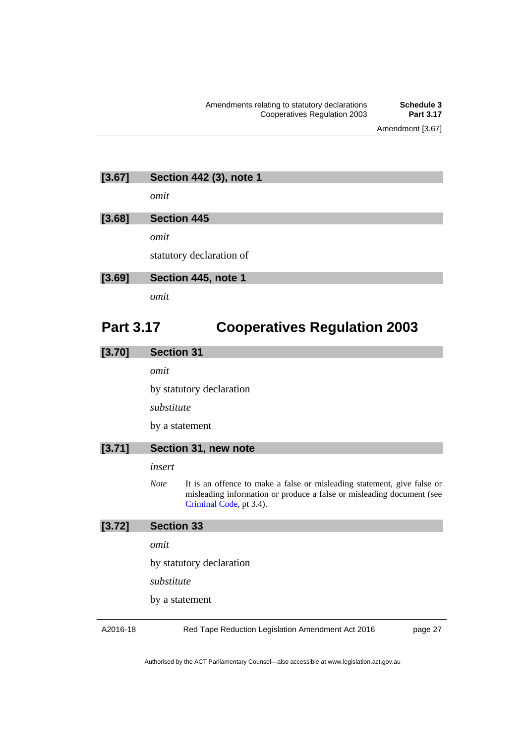## **[3.67] Section 442 (3), note 1**

*omit* 

### **[3.68] Section 445**

*omit* 

statutory declaration of

### **[3.69] Section 445, note 1**

*omit* 

## <span id="page-30-0"></span>**Part 3.17 Cooperatives Regulation 2003**

### **[3.70] Section 31**

*omit* 

by statutory declaration

*substitute* 

by a statement

### **[3.71] Section 31, new note**

#### *insert*

*Note* It is an offence to make a false or misleading statement, give false or misleading information or produce a false or misleading document (see [Criminal Code](http://www.legislation.act.gov.au/a/2002-51), pt 3.4).

## **[3.72] Section 33**

*omit* 

by statutory declaration

*substitute* 

by a statement

A2016-18

Red Tape Reduction Legislation Amendment Act 2016

page 27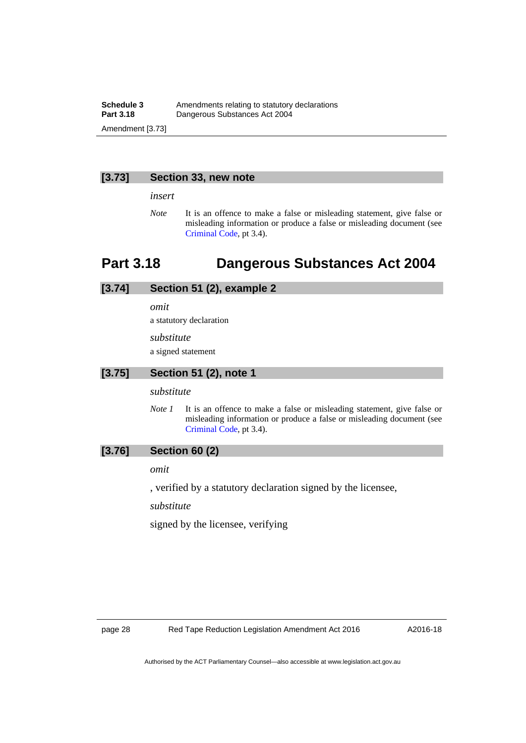### **Schedule 3** Amendments relating to statutory declarations<br>**Part 3.18** Dangerous Substances Act 2004 **Part 3.18** Dangerous Substances Act 2004 Amendment [3.73]

#### **[3.73] Section 33, new note**

*insert* 

*Note* It is an offence to make a false or misleading statement, give false or misleading information or produce a false or misleading document (see [Criminal Code](http://www.legislation.act.gov.au/a/2002-51), pt 3.4).

## <span id="page-31-0"></span>**Part 3.18 Dangerous Substances Act 2004**

## **[3.74] Section 51 (2), example 2**

*omit* 

a statutory declaration

*substitute* 

a signed statement

## **[3.75] Section 51 (2), note 1**

*substitute* 

*Note 1* It is an offence to make a false or misleading statement, give false or misleading information or produce a false or misleading document (see [Criminal Code](http://www.legislation.act.gov.au/a/2002-51), pt 3.4).

## **[3.76] Section 60 (2)**

*omit* 

, verified by a statutory declaration signed by the licensee,

*substitute* 

signed by the licensee, verifying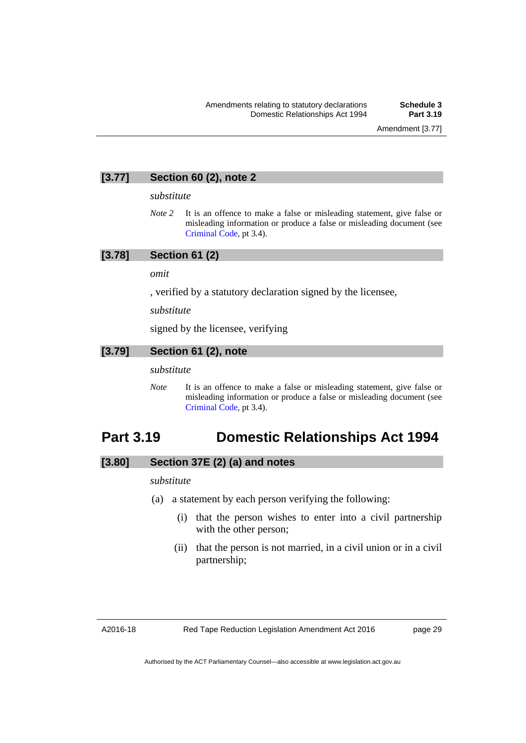Amendment [3.77]

## **[3.77] Section 60 (2), note 2**

#### *substitute*

*Note* 2 It is an offence to make a false or misleading statement, give false or misleading information or produce a false or misleading document (see [Criminal Code](http://www.legislation.act.gov.au/a/2002-51), pt 3.4).

### **[3.78] Section 61 (2)**

*omit* 

, verified by a statutory declaration signed by the licensee,

*substitute* 

signed by the licensee, verifying

### **[3.79] Section 61 (2), note**

#### *substitute*

*Note* It is an offence to make a false or misleading statement, give false or misleading information or produce a false or misleading document (see [Criminal Code](http://www.legislation.act.gov.au/a/2002-51), pt 3.4).

## <span id="page-32-0"></span>**Part 3.19 Domestic Relationships Act 1994**

## **[3.80] Section 37E (2) (a) and notes**

### *substitute*

- (a) a statement by each person verifying the following:
	- (i) that the person wishes to enter into a civil partnership with the other person;
	- (ii) that the person is not married, in a civil union or in a civil partnership;

A2016-18

page 29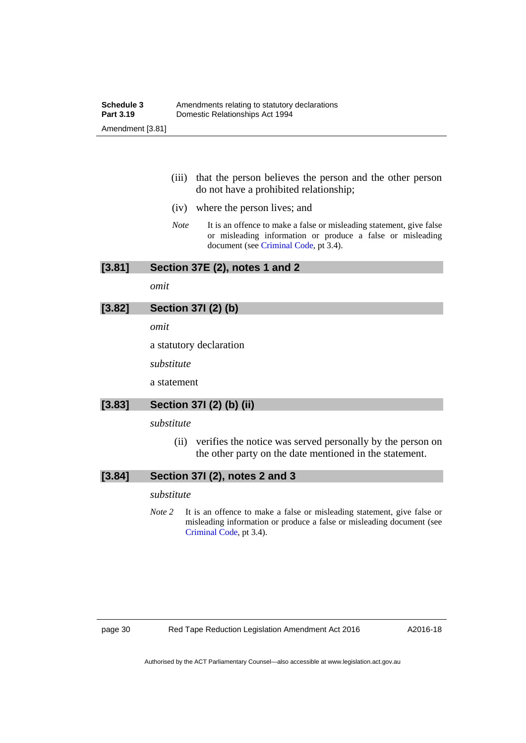- (iii) that the person believes the person and the other person do not have a prohibited relationship;
- (iv) where the person lives; and
- *Note* It is an offence to make a false or misleading statement, give false or misleading information or produce a false or misleading document (see [Criminal Code,](http://www.legislation.act.gov.au/a/2002-51) pt 3.4).

**[3.81] Section 37E (2), notes 1 and 2** 

*omit* 

## **[3.82] Section 37I (2) (b)**

*omit* 

a statutory declaration

*substitute* 

a statement

## **[3.83] Section 37I (2) (b) (ii)**

*substitute* 

 (ii) verifies the notice was served personally by the person on the other party on the date mentioned in the statement.

### **[3.84] Section 37I (2), notes 2 and 3**

#### *substitute*

*Note* 2 It is an offence to make a false or misleading statement, give false or misleading information or produce a false or misleading document (see [Criminal Code](http://www.legislation.act.gov.au/a/2002-51), pt 3.4).

A2016-18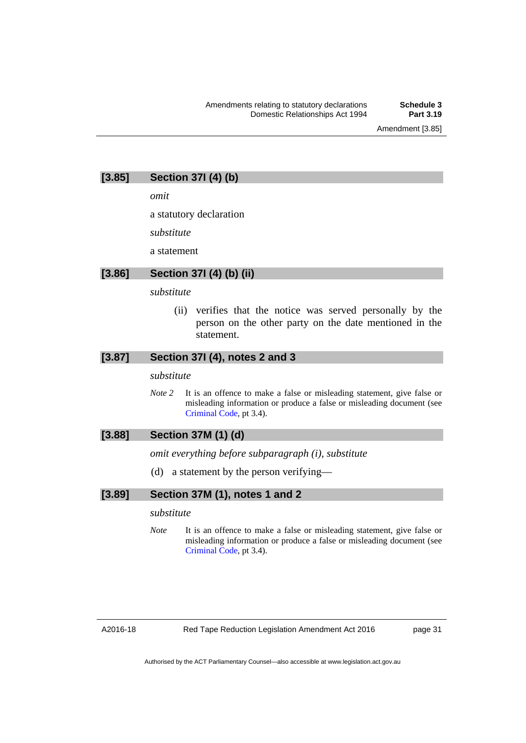Amendment [3.85]

## **[3.85] Section 37I (4) (b)**

*omit* 

a statutory declaration

*substitute* 

a statement

### **[3.86] Section 37I (4) (b) (ii)**

#### *substitute*

 (ii) verifies that the notice was served personally by the person on the other party on the date mentioned in the statement.

## **[3.87] Section 37I (4), notes 2 and 3**

*substitute* 

*Note* 2 It is an offence to make a false or misleading statement, give false or misleading information or produce a false or misleading document (see [Criminal Code](http://www.legislation.act.gov.au/a/2002-51), pt 3.4).

### **[3.88] Section 37M (1) (d)**

*omit everything before subparagraph (i), substitute* 

(d) a statement by the person verifying—

### **[3.89] Section 37M (1), notes 1 and 2**

#### *substitute*

*Note* It is an offence to make a false or misleading statement, give false or misleading information or produce a false or misleading document (see [Criminal Code](http://www.legislation.act.gov.au/a/2002-51), pt 3.4).

page 31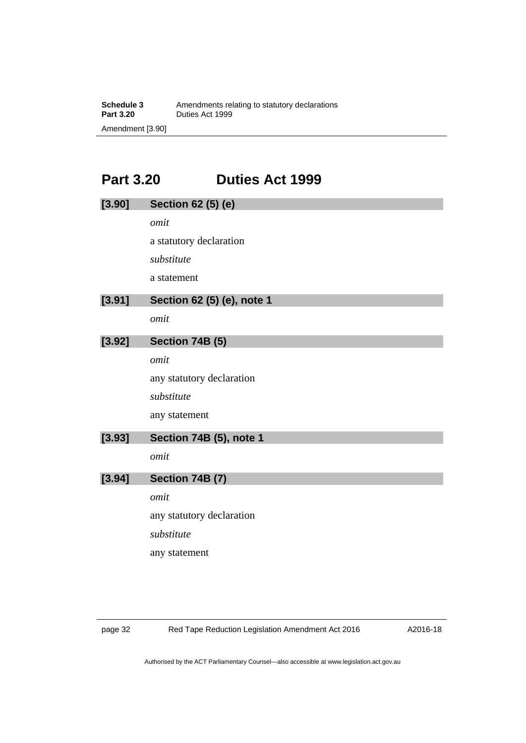## **Part 3.20 Duties Act 1999**

<span id="page-35-0"></span>

| [3.90] | Section 62 (5) (e)         |  |  |
|--------|----------------------------|--|--|
|        | omit                       |  |  |
|        | a statutory declaration    |  |  |
|        | substitute                 |  |  |
|        | a statement                |  |  |
| [3.91] | Section 62 (5) (e), note 1 |  |  |
|        | omit                       |  |  |
| [3.92] | Section 74B (5)            |  |  |
|        | omit                       |  |  |
|        | any statutory declaration  |  |  |
|        | substitute                 |  |  |
|        | any statement              |  |  |
| [3.93] | Section 74B (5), note 1    |  |  |
|        | omit                       |  |  |
| [3.94] | Section 74B (7)            |  |  |
|        | omit                       |  |  |
|        | any statutory declaration  |  |  |
|        | substitute                 |  |  |
|        | any statement              |  |  |
|        |                            |  |  |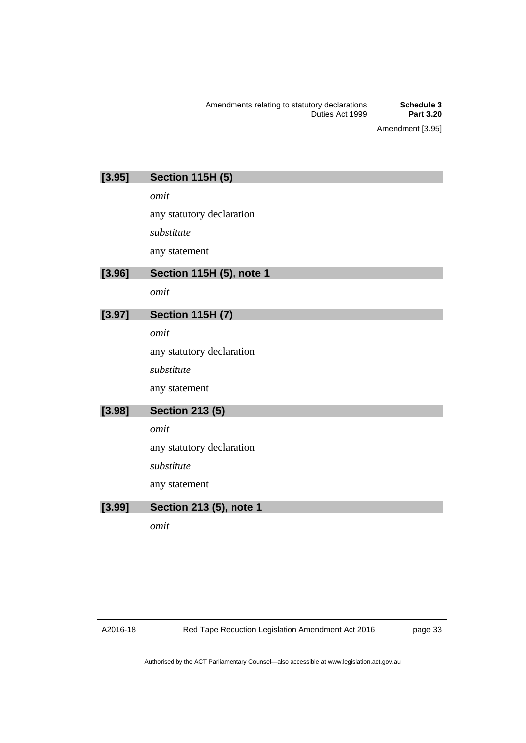Amendment [3.95]

| [3.95] | <b>Section 115H (5)</b>   |
|--------|---------------------------|
|        | omit                      |
|        | any statutory declaration |
|        | substitute                |
|        | any statement             |
| [3.96] | Section 115H (5), note 1  |
|        | omit                      |
| [3.97] | <b>Section 115H (7)</b>   |
|        | omit                      |
|        | any statutory declaration |
|        | substitute                |
|        | any statement             |
| [3.98] | <b>Section 213 (5)</b>    |
|        | omit                      |
|        | any statutory declaration |
|        | substitute                |
|        | any statement             |
| [3.99] | Section 213 (5), note 1   |

*omit* 

page 33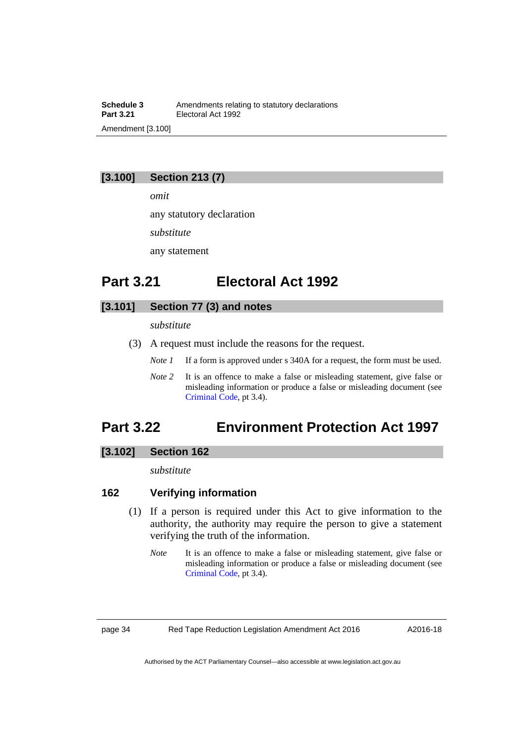**Schedule 3**<br>**Part 3.21 Electoral Act 1992**<br>**Part 3.21 Electoral Act 1992 Part 3.21** Electoral Act 1992 Amendment [3.100]

### **[3.100] Section 213 (7)**

*omit* 

any statutory declaration

*substitute* 

any statement

## **Part 3.21 Electoral Act 1992**

## **[3.101] Section 77 (3) and notes**

*substitute* 

- (3) A request must include the reasons for the request.
	- *Note 1* If a form is approved under s 340A for a request, the form must be used.
	- *Note* 2 It is an offence to make a false or misleading statement, give false or misleading information or produce a false or misleading document (see [Criminal Code](http://www.legislation.act.gov.au/a/2002-51), pt 3.4).

# **Part 3.22 Environment Protection Act 1997**

#### **[3.102] Section 162**

*substitute* 

#### **162 Verifying information**

- (1) If a person is required under this Act to give information to the authority, the authority may require the person to give a statement verifying the truth of the information.
	- *Note* It is an offence to make a false or misleading statement, give false or misleading information or produce a false or misleading document (see [Criminal Code](http://www.legislation.act.gov.au/a/2002-51), pt 3.4).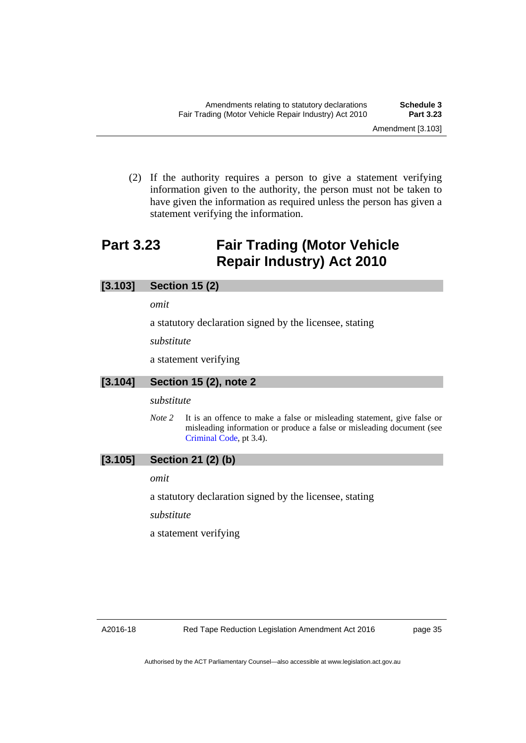(2) If the authority requires a person to give a statement verifying information given to the authority, the person must not be taken to have given the information as required unless the person has given a statement verifying the information.

# **Part 3.23 Fair Trading (Motor Vehicle Repair Industry) Act 2010**

### **[3.103] Section 15 (2)**

*omit* 

a statutory declaration signed by the licensee, stating

*substitute* 

a statement verifying

#### **[3.104] Section 15 (2), note 2**

#### *substitute*

*Note* 2 It is an offence to make a false or misleading statement, give false or misleading information or produce a false or misleading document (see [Criminal Code](http://www.legislation.act.gov.au/a/2002-51), pt 3.4).

### **[3.105] Section 21 (2) (b)**

*omit* 

a statutory declaration signed by the licensee, stating

*substitute* 

a statement verifying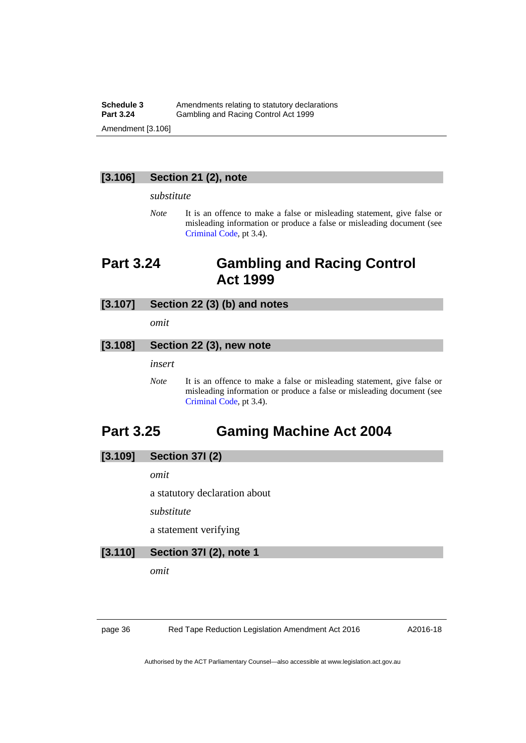#### **Schedule 3** Amendments relating to statutory declarations<br> **Part 3.24** Gambling and Racing Control Act 1999 **Part 3.24** Gambling and Racing Control Act 1999 Amendment [3.106]

### **[3.106] Section 21 (2), note**

#### *substitute*

*Note* It is an offence to make a false or misleading statement, give false or misleading information or produce a false or misleading document (see [Criminal Code](http://www.legislation.act.gov.au/a/2002-51), pt 3.4).

# **Part 3.24 Gambling and Racing Control Act 1999**

#### **[3.107] Section 22 (3) (b) and notes**

*omit* 

#### **[3.108] Section 22 (3), new note**

*insert* 

*Note* It is an offence to make a false or misleading statement, give false or misleading information or produce a false or misleading document (see [Criminal Code](http://www.legislation.act.gov.au/a/2002-51), pt 3.4).

# **Part 3.25 Gaming Machine Act 2004**

#### **[3.109] Section 37I (2)**

*omit* 

a statutory declaration about

*substitute* 

a statement verifying

### **[3.110] Section 37I (2), note 1**

*omit* 

page 36 Red Tape Reduction Legislation Amendment Act 2016

A2016-18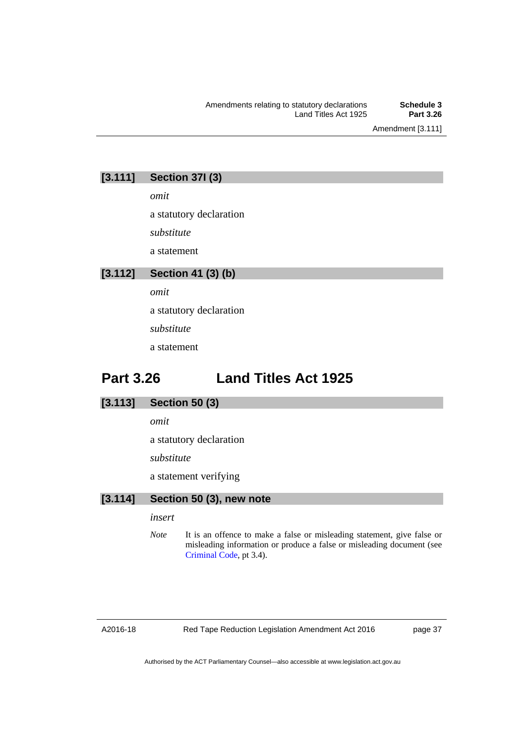Amendment [3.111]

## **[3.111] Section 37I (3)**

*omit* 

a statutory declaration

*substitute* 

a statement

## **[3.112] Section 41 (3) (b)**

*omit* 

a statutory declaration

*substitute* 

a statement

# **Part 3.26 Land Titles Act 1925**

### **[3.113] Section 50 (3)**

*omit* 

a statutory declaration

*substitute* 

a statement verifying

## **[3.114] Section 50 (3), new note**

#### *insert*

*Note* It is an offence to make a false or misleading statement, give false or misleading information or produce a false or misleading document (see [Criminal Code](http://www.legislation.act.gov.au/a/2002-51), pt 3.4).

A2016-18

Red Tape Reduction Legislation Amendment Act 2016

page 37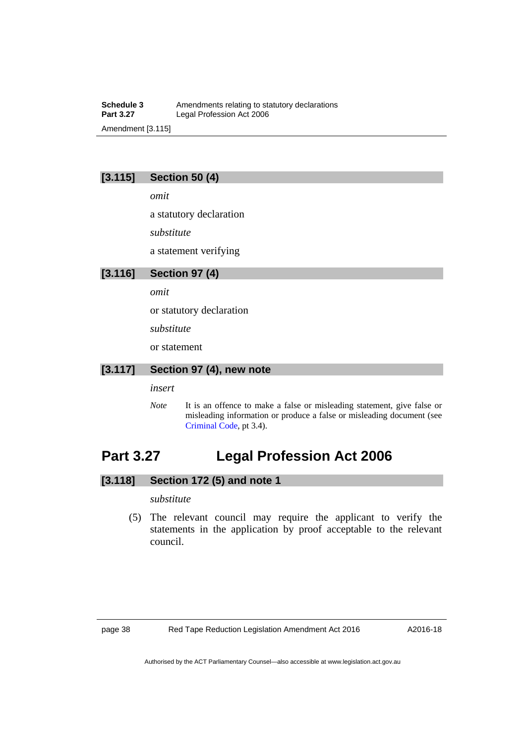**Schedule 3** Amendments relating to statutory declarations<br>**Part 3.27** Legal Profession Act 2006 Legal Profession Act 2006 Amendment [3.115]

## **[3.115] Section 50 (4)**

*omit* 

a statutory declaration

*substitute* 

a statement verifying

#### **[3.116] Section 97 (4)**

*omit* 

or statutory declaration

*substitute* 

or statement

### **[3.117] Section 97 (4), new note**

*insert* 

*Note* It is an offence to make a false or misleading statement, give false or misleading information or produce a false or misleading document (see [Criminal Code](http://www.legislation.act.gov.au/a/2002-51), pt 3.4).

# **Part 3.27 Legal Profession Act 2006**

### **[3.118] Section 172 (5) and note 1**

*substitute* 

 (5) The relevant council may require the applicant to verify the statements in the application by proof acceptable to the relevant council.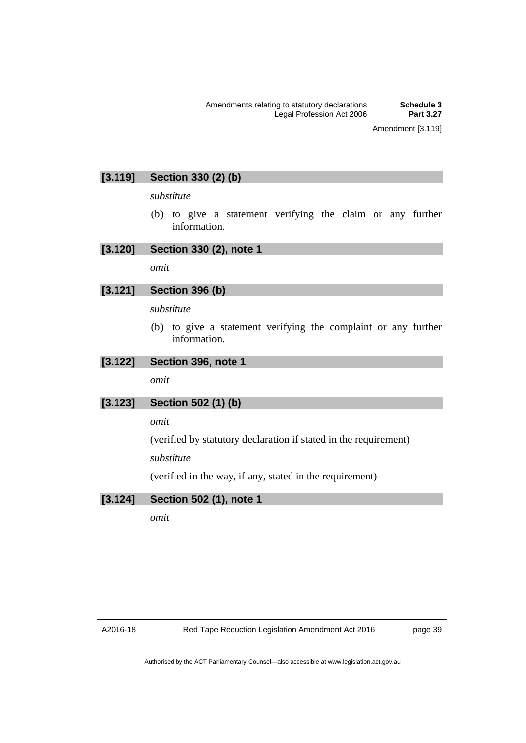## **[3.119] Section 330 (2) (b)**

*substitute* 

 (b) to give a statement verifying the claim or any further information.

### **[3.120] Section 330 (2), note 1**

*omit* 

### **[3.121] Section 396 (b)**

#### *substitute*

 (b) to give a statement verifying the complaint or any further information.

### **[3.122] Section 396, note 1**

*omit* 

## **[3.123] Section 502 (1) (b)**

*omit* 

(verified by statutory declaration if stated in the requirement)

*substitute* 

(verified in the way, if any, stated in the requirement)

### **[3.124] Section 502 (1), note 1**

*omit*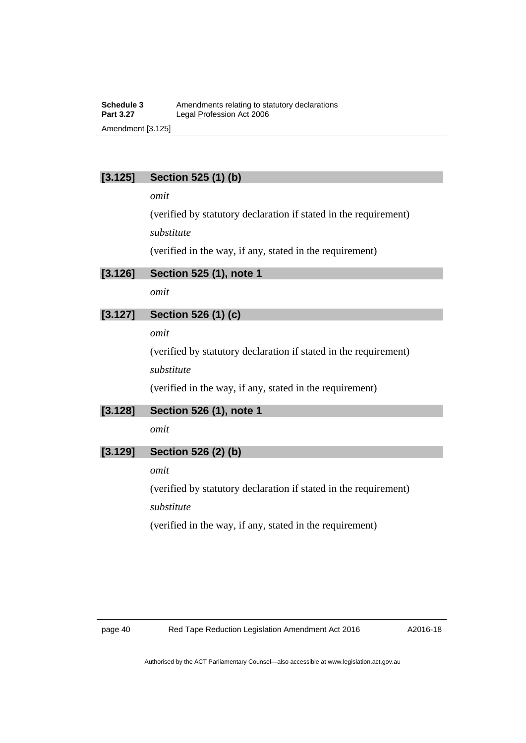#### **Schedule 3** Amendments relating to statutory declarations<br>**Part 3.27** Legal Profession Act 2006 Legal Profession Act 2006 Amendment [3.125]

## **[3.125] Section 525 (1) (b)**

*omit* 

(verified by statutory declaration if stated in the requirement) *substitute* 

(verified in the way, if any, stated in the requirement)

**[3.126] Section 525 (1), note 1** 

*omit* 

## **[3.127] Section 526 (1) (c)**

*omit* 

(verified by statutory declaration if stated in the requirement)

*substitute* 

(verified in the way, if any, stated in the requirement)

### **[3.128] Section 526 (1), note 1**

*omit* 

## **[3.129] Section 526 (2) (b)**

*omit* 

(verified by statutory declaration if stated in the requirement) *substitute* 

(verified in the way, if any, stated in the requirement)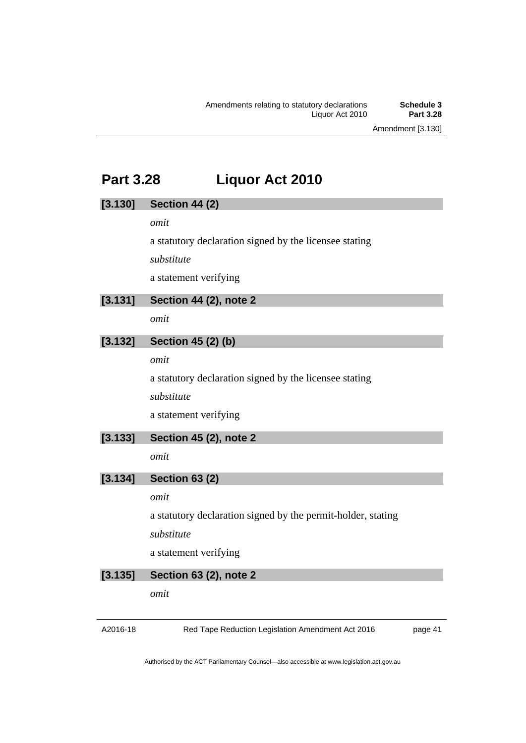Amendment [3.130]

# **Part 3.28 Liquor Act 2010**

# A2016-18 Red Tape Reduction Legislation Amendment Act 2016 page 41 **[3.130] Section 44 (2)**  *omit*  a statutory declaration signed by the licensee stating *substitute*  a statement verifying **[3.131] Section 44 (2), note 2**  *omit*  **[3.132] Section 45 (2) (b)**  *omit*  a statutory declaration signed by the licensee stating *substitute*  a statement verifying **[3.133] Section 45 (2), note 2**  *omit*  **[3.134] Section 63 (2)**  *omit*  a statutory declaration signed by the permit-holder, stating *substitute*  a statement verifying **[3.135] Section 63 (2), note 2**  *omit*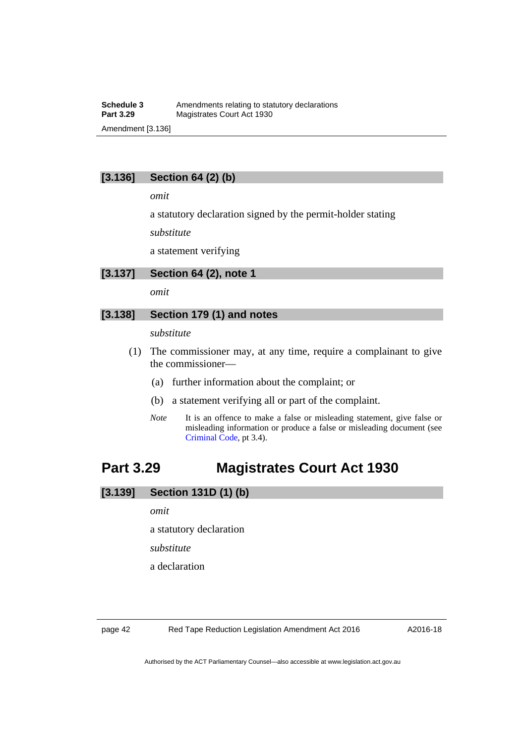## **[3.136] Section 64 (2) (b)**

*omit* 

a statutory declaration signed by the permit-holder stating

*substitute* 

a statement verifying

#### **[3.137] Section 64 (2), note 1**

*omit* 

### **[3.138] Section 179 (1) and notes**

*substitute* 

- (1) The commissioner may, at any time, require a complainant to give the commissioner—
	- (a) further information about the complaint; or
	- (b) a statement verifying all or part of the complaint.
	- *Note* It is an offence to make a false or misleading statement, give false or misleading information or produce a false or misleading document (see [Criminal Code](http://www.legislation.act.gov.au/a/2002-51), pt 3.4).

# **Part 3.29 Magistrates Court Act 1930**

### **[3.139] Section 131D (1) (b)**

*omit* 

a statutory declaration

*substitute* 

a declaration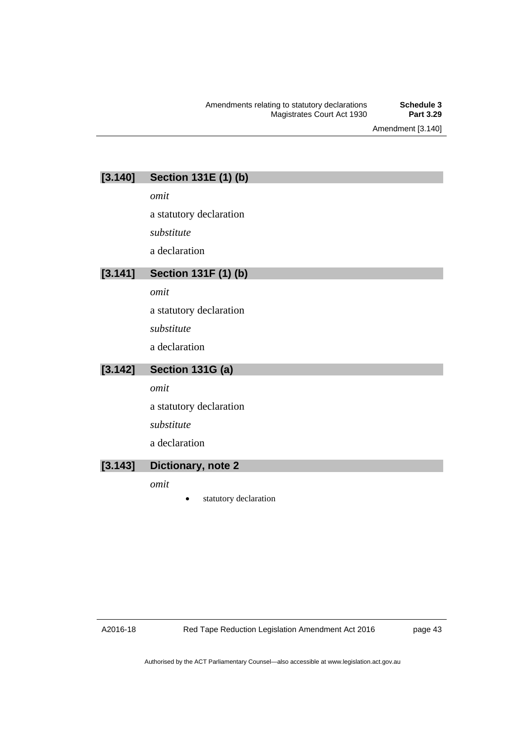Amendment [3.140]

# **[3.140] Section 131E (1) (b)**

*omit* 

a statutory declaration

*substitute* 

a declaration

## **[3.141] Section 131F (1) (b)**

*omit* 

a statutory declaration

*substitute* 

a declaration

## **[3.142] Section 131G (a)**

*omit* 

a statutory declaration

*substitute* 

a declaration

### **[3.143] Dictionary, note 2**

*omit* 

statutory declaration

A2016-18

Red Tape Reduction Legislation Amendment Act 2016

page 43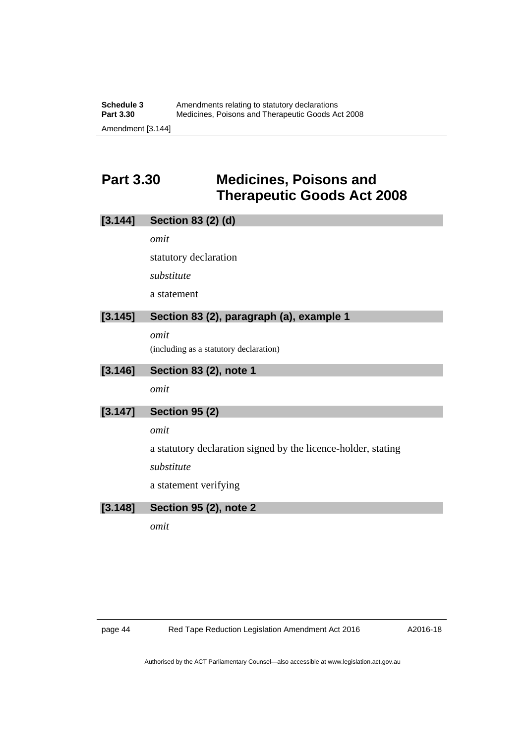# **Part 3.30 Medicines, Poisons and Therapeutic Goods Act 2008**

| <b>Section 83 (2) (d)</b><br>[3.144] |  |  |
|--------------------------------------|--|--|
|--------------------------------------|--|--|

*omit* 

statutory declaration

*substitute* 

a statement

### **[3.145] Section 83 (2), paragraph (a), example 1**

*omit*  (including as a statutory declaration)

#### **[3.146] Section 83 (2), note 1**

*omit* 

## **[3.147] Section 95 (2)**

*omit* 

a statutory declaration signed by the licence-holder, stating

*substitute* 

a statement verifying

### **[3.148] Section 95 (2), note 2**

*omit*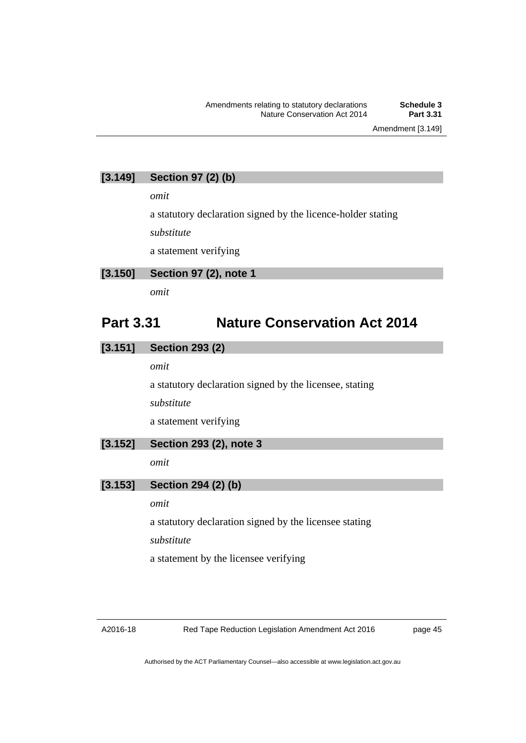Amendment [3.149]

## **[3.149] Section 97 (2) (b)**

*omit* 

a statutory declaration signed by the licence-holder stating

*substitute* 

a statement verifying

#### **[3.150] Section 97 (2), note 1**

*omit* 

# **Part 3.31 Nature Conservation Act 2014**

### **[3.151] Section 293 (2)**

*omit* 

a statutory declaration signed by the licensee, stating

*substitute* 

a statement verifying

### **[3.152] Section 293 (2), note 3**

*omit* 

## **[3.153] Section 294 (2) (b)**

*omit* 

a statutory declaration signed by the licensee stating

*substitute* 

a statement by the licensee verifying

page 45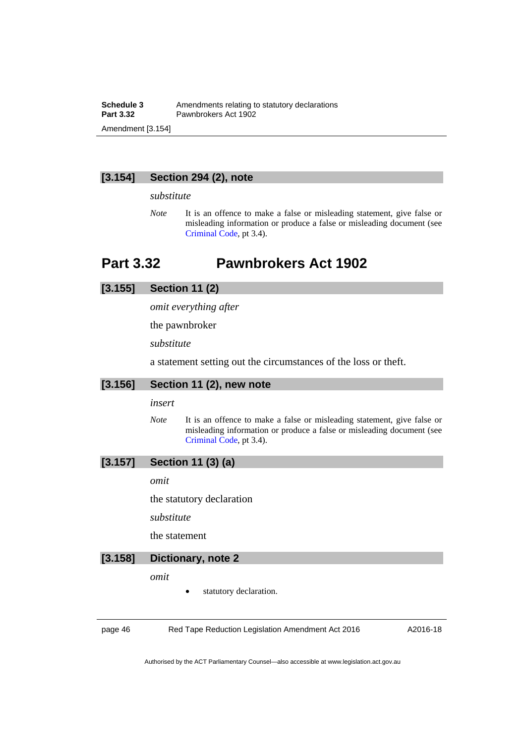#### **[3.154] Section 294 (2), note**

#### *substitute*

*Note* It is an offence to make a false or misleading statement, give false or misleading information or produce a false or misleading document (see [Criminal Code](http://www.legislation.act.gov.au/a/2002-51), pt 3.4).

## **Part 3.32 Pawnbrokers Act 1902**

### **[3.155] Section 11 (2)**

*omit everything after* 

the pawnbroker

*substitute* 

a statement setting out the circumstances of the loss or theft.

#### **[3.156] Section 11 (2), new note**

#### *insert*

*Note* It is an offence to make a false or misleading statement, give false or misleading information or produce a false or misleading document (see [Criminal Code](http://www.legislation.act.gov.au/a/2002-51), pt 3.4).

### **[3.157] Section 11 (3) (a)**

*omit* 

the statutory declaration

*substitute* 

the statement

#### **[3.158] Dictionary, note 2**

*omit* 

statutory declaration.

page 46 Red Tape Reduction Legislation Amendment Act 2016

A2016-18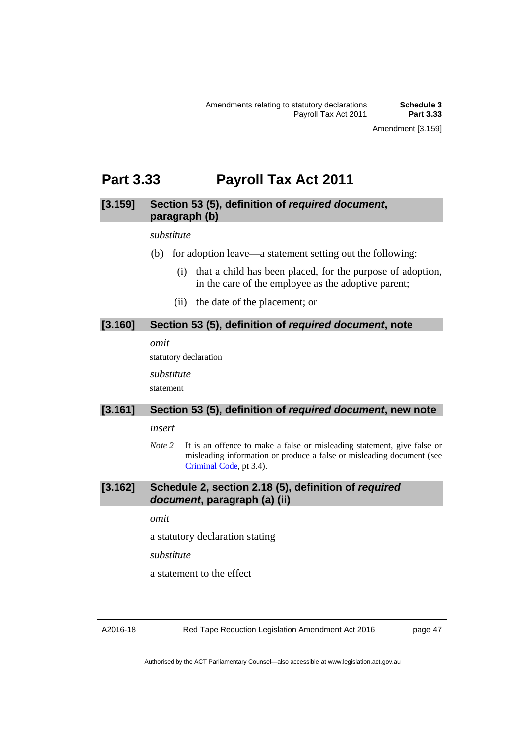# **Part 3.33 Payroll Tax Act 2011**

### **[3.159] Section 53 (5), definition of** *required document***, paragraph (b)**

#### *substitute*

- (b) for adoption leave—a statement setting out the following:
	- (i) that a child has been placed, for the purpose of adoption, in the care of the employee as the adoptive parent;
	- (ii) the date of the placement; or

#### **[3.160] Section 53 (5), definition of** *required document***, note**

*omit* 

statutory declaration

*substitute*  statement

### **[3.161] Section 53 (5), definition of** *required document***, new note**

### *insert*

*Note* 2 It is an offence to make a false or misleading statement, give false or misleading information or produce a false or misleading document (see [Criminal Code](http://www.legislation.act.gov.au/a/2002-51), pt 3.4).

### **[3.162] Schedule 2, section 2.18 (5), definition of** *required document***, paragraph (a) (ii)**

*omit* 

a statutory declaration stating

*substitute* 

a statement to the effect

Red Tape Reduction Legislation Amendment Act 2016

page 47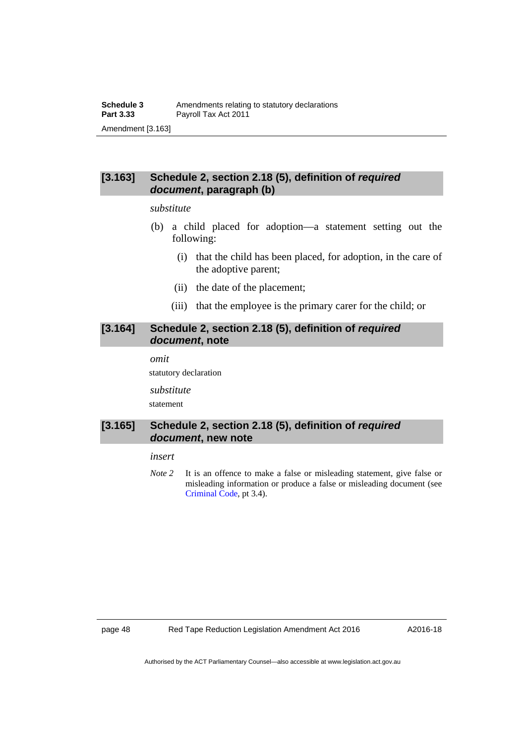### **[3.163] Schedule 2, section 2.18 (5), definition of** *required document***, paragraph (b)**

#### *substitute*

- (b) a child placed for adoption—a statement setting out the following:
	- (i) that the child has been placed, for adoption, in the care of the adoptive parent;
	- (ii) the date of the placement;
	- (iii) that the employee is the primary carer for the child; or

#### **[3.164] Schedule 2, section 2.18 (5), definition of** *required document***, note**

*omit* 

statutory declaration

*substitute* 

statement

#### **[3.165] Schedule 2, section 2.18 (5), definition of** *required document***, new note**

#### *insert*

*Note 2* It is an offence to make a false or misleading statement, give false or misleading information or produce a false or misleading document (see [Criminal Code](http://www.legislation.act.gov.au/a/2002-51), pt 3.4).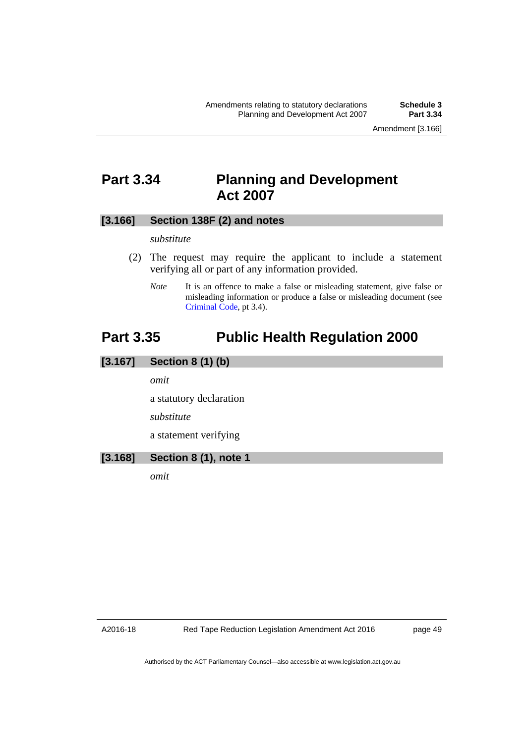## **Part 3.34 Planning and Development Act 2007**

#### **[3.166] Section 138F (2) and notes**

*substitute* 

- (2) The request may require the applicant to include a statement verifying all or part of any information provided.
	- *Note* It is an offence to make a false or misleading statement, give false or misleading information or produce a false or misleading document (see [Criminal Code](http://www.legislation.act.gov.au/a/2002-51), pt 3.4).

# **Part 3.35 Public Health Regulation 2000**

## **[3.167] Section 8 (1) (b)**

*omit* 

a statutory declaration

*substitute* 

a statement verifying

### **[3.168] Section 8 (1), note 1**

*omit*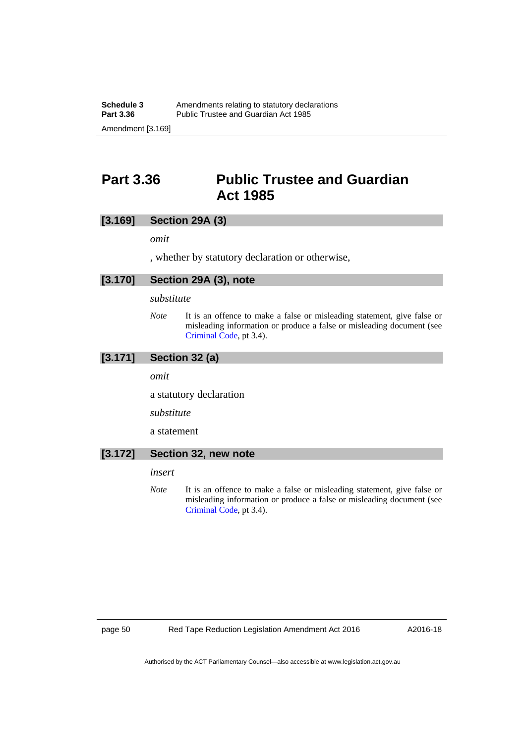Amendment [3.169]

# **Part 3.36 Public Trustee and Guardian Act 1985**

### **[3.169] Section 29A (3)**

*omit* 

, whether by statutory declaration or otherwise,

### **[3.170] Section 29A (3), note**

*substitute* 

*Note* It is an offence to make a false or misleading statement, give false or misleading information or produce a false or misleading document (see [Criminal Code](http://www.legislation.act.gov.au/a/2002-51), pt 3.4).

## **[3.171] Section 32 (a)**

*omit* 

a statutory declaration

*substitute* 

a statement

#### **[3.172] Section 32, new note**

*insert* 

*Note* It is an offence to make a false or misleading statement, give false or misleading information or produce a false or misleading document (see [Criminal Code](http://www.legislation.act.gov.au/a/2002-51), pt 3.4).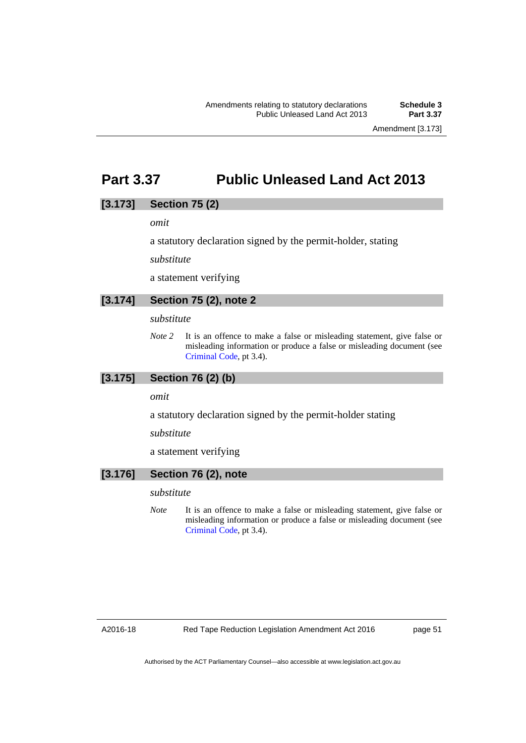Amendment [3.173]

## **Part 3.37 Public Unleased Land Act 2013**

### **[3.173] Section 75 (2)**

*omit* 

a statutory declaration signed by the permit-holder, stating

*substitute* 

a statement verifying

### **[3.174] Section 75 (2), note 2**

#### *substitute*

*Note 2* It is an offence to make a false or misleading statement, give false or misleading information or produce a false or misleading document (see [Criminal Code](http://www.legislation.act.gov.au/a/2002-51), pt 3.4).

#### **[3.175] Section 76 (2) (b)**

#### *omit*

a statutory declaration signed by the permit-holder stating

*substitute* 

a statement verifying

### **[3.176] Section 76 (2), note**

#### *substitute*

*Note* It is an offence to make a false or misleading statement, give false or misleading information or produce a false or misleading document (see [Criminal Code](http://www.legislation.act.gov.au/a/2002-51), pt 3.4).

page 51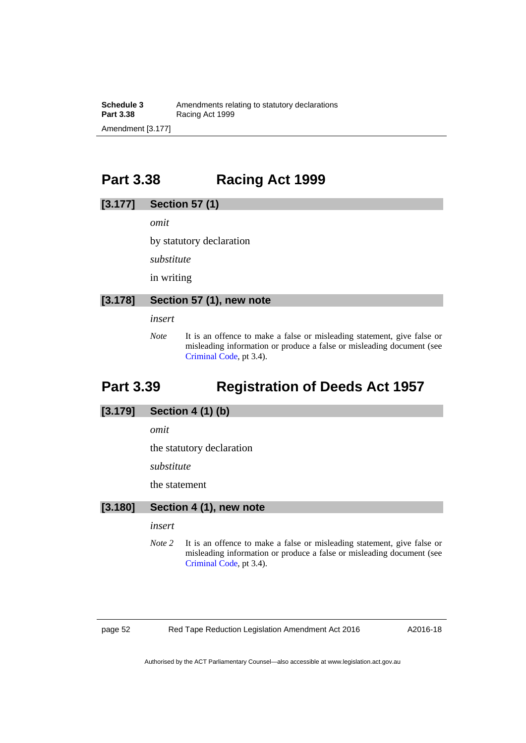**Schedule 3**<br>**Part 3.38 Amendments relating to statutory declarations**<br>**Part 3.38 Racing Act 1999 Racing Act 1999** Amendment [3.177]

# **Part 3.38 Racing Act 1999**

### **[3.177] Section 57 (1)**

*omit* 

by statutory declaration

*substitute* 

in writing

#### **[3.178] Section 57 (1), new note**

*insert* 

*Note* It is an offence to make a false or misleading statement, give false or misleading information or produce a false or misleading document (see [Criminal Code](http://www.legislation.act.gov.au/a/2002-51), pt 3.4).

# **Part 3.39 Registration of Deeds Act 1957**

### **[3.179] Section 4 (1) (b)**

*omit* 

the statutory declaration

*substitute* 

the statement

### **[3.180] Section 4 (1), new note**

#### *insert*

*Note 2* It is an offence to make a false or misleading statement, give false or misleading information or produce a false or misleading document (see [Criminal Code](http://www.legislation.act.gov.au/a/2002-51), pt 3.4).

page 52 Red Tape Reduction Legislation Amendment Act 2016

A2016-18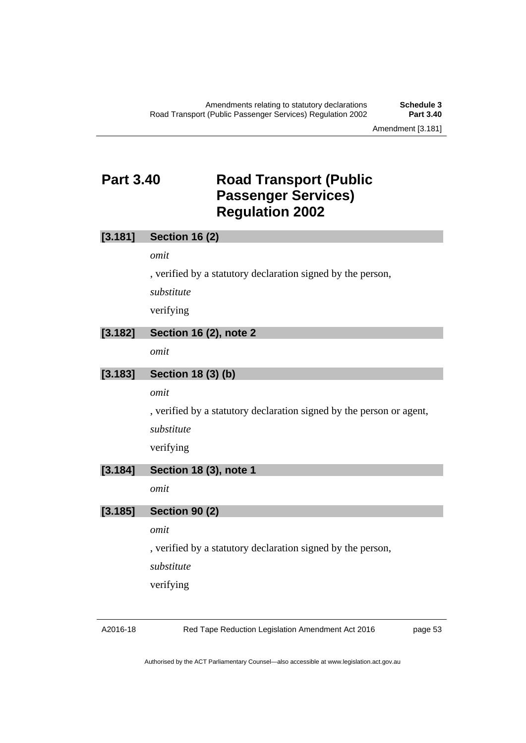# **Part 3.40 Road Transport (Public Passenger Services) Regulation 2002**

| [3.181] | <b>Section 16 (2)</b>                                                |
|---------|----------------------------------------------------------------------|
|         | omit                                                                 |
|         | , verified by a statutory declaration signed by the person,          |
|         | substitute                                                           |
|         | verifying                                                            |
| [3.182] | <b>Section 16 (2), note 2</b>                                        |
|         | omit                                                                 |
| [3.183] | Section 18 (3) (b)                                                   |
|         | omit                                                                 |
|         | , verified by a statutory declaration signed by the person or agent, |
|         | substitute                                                           |
|         | verifying                                                            |
| [3.184] | Section 18 (3), note 1                                               |
|         | omit                                                                 |
| [3.185] | <b>Section 90 (2)</b>                                                |
|         | omit                                                                 |
|         | , verified by a statutory declaration signed by the person,          |
|         | substitute                                                           |
|         | verifying                                                            |

A2016-18

Red Tape Reduction Legislation Amendment Act 2016

page 53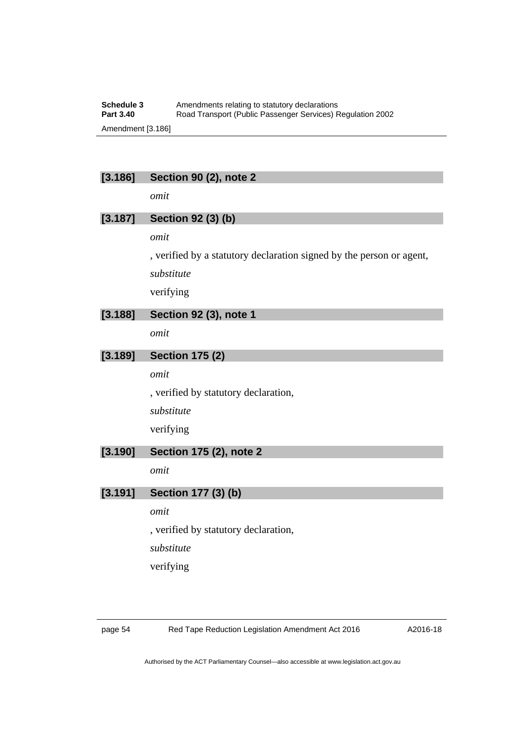#### **Schedule 3** Amendments relating to statutory declarations<br>**Part 3.40** Road Transport (Public Passenger Services) R **Part 3.40** Road Transport (Public Passenger Services) Regulation 2002 Amendment [3.186]

## **[3.186] Section 90 (2), note 2**

*omit* 

## **[3.187] Section 92 (3) (b)**

*omit* 

, verified by a statutory declaration signed by the person or agent,

*substitute* 

verifying

### **[3.188] Section 92 (3), note 1**

*omit* 

### **[3.189] Section 175 (2)**

*omit* 

, verified by statutory declaration, *substitute* 

verifying

## **[3.190] Section 175 (2), note 2**

*omit* 

#### **[3.191] Section 177 (3) (b)**

*omit* 

, verified by statutory declaration,

*substitute* 

verifying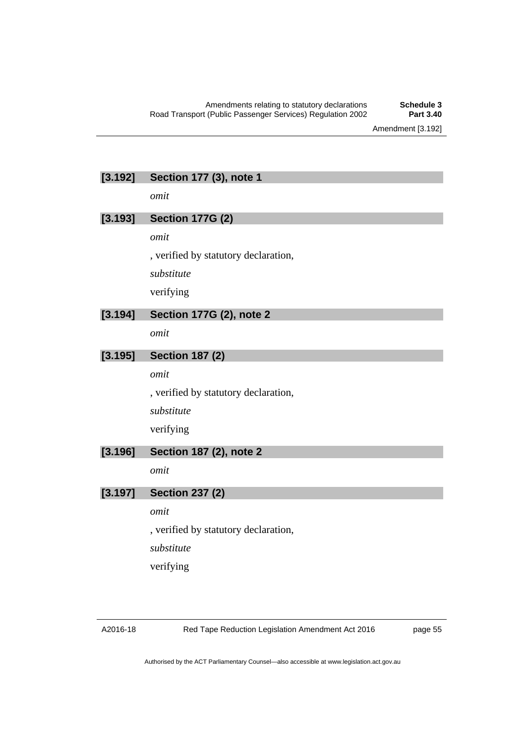### **[3.192] Section 177 (3), note 1**

*omit* 

### **[3.193] Section 177G (2)**

*omit* 

, verified by statutory declaration,

*substitute* 

verifying

### **[3.194] Section 177G (2), note 2**

*omit* 

### **[3.195] Section 187 (2)**

*omit* 

, verified by statutory declaration, *substitute*  verifying

## **[3.196] Section 187 (2), note 2**

*omit* 

#### **[3.197] Section 237 (2)**

*omit* 

, verified by statutory declaration,

*substitute* 

verifying

page 55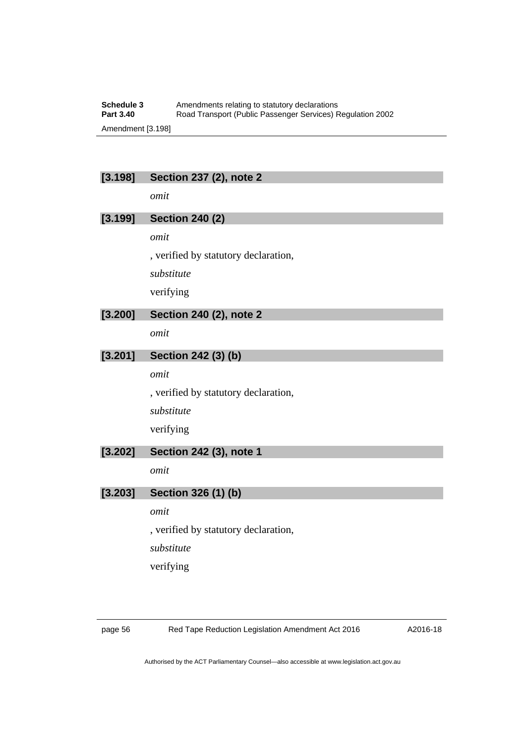#### **Schedule 3** Amendments relating to statutory declarations<br>**Part 3.40** Road Transport (Public Passenger Services) R **Part 3.40** Road Transport (Public Passenger Services) Regulation 2002 Amendment [3.198]

## **[3.198] Section 237 (2), note 2**

*omit* 

## **[3.199] Section 240 (2)**

*omit* 

, verified by statutory declaration,

*substitute* 

verifying

### **[3.200] Section 240 (2), note 2**

*omit* 

## **[3.201] Section 242 (3) (b)**

*omit* 

, verified by statutory declaration, *substitute*  verifying

#### **[3.202] Section 242 (3), note 1**

*omit* 

#### **[3.203] Section 326 (1) (b)**

*omit* 

, verified by statutory declaration,

*substitute* 

verifying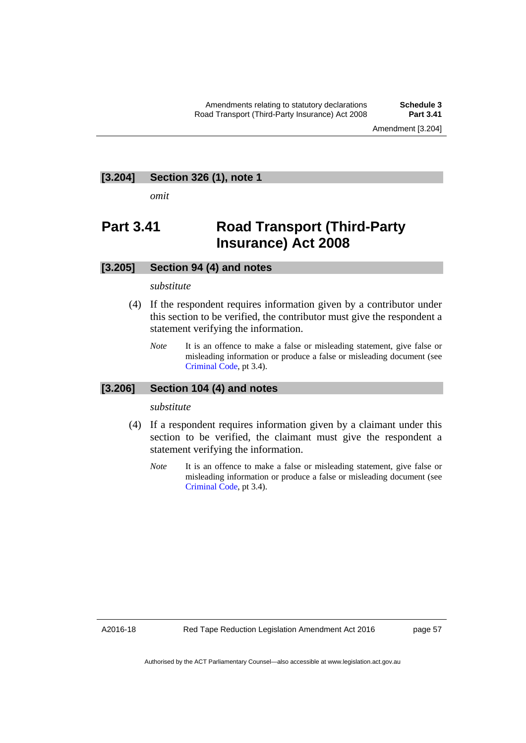Amendment [3.204]

#### **[3.204] Section 326 (1), note 1**

*omit* 

# **Part 3.41 Road Transport (Third-Party Insurance) Act 2008**

#### **[3.205] Section 94 (4) and notes**

#### *substitute*

- (4) If the respondent requires information given by a contributor under this section to be verified, the contributor must give the respondent a statement verifying the information.
	- *Note* It is an offence to make a false or misleading statement, give false or misleading information or produce a false or misleading document (see [Criminal Code](http://www.legislation.act.gov.au/a/2002-51), pt 3.4).

### **[3.206] Section 104 (4) and notes**

#### *substitute*

- (4) If a respondent requires information given by a claimant under this section to be verified, the claimant must give the respondent a statement verifying the information.
	- *Note* It is an offence to make a false or misleading statement, give false or misleading information or produce a false or misleading document (see [Criminal Code](http://www.legislation.act.gov.au/a/2002-51), pt 3.4).

A2016-18

page 57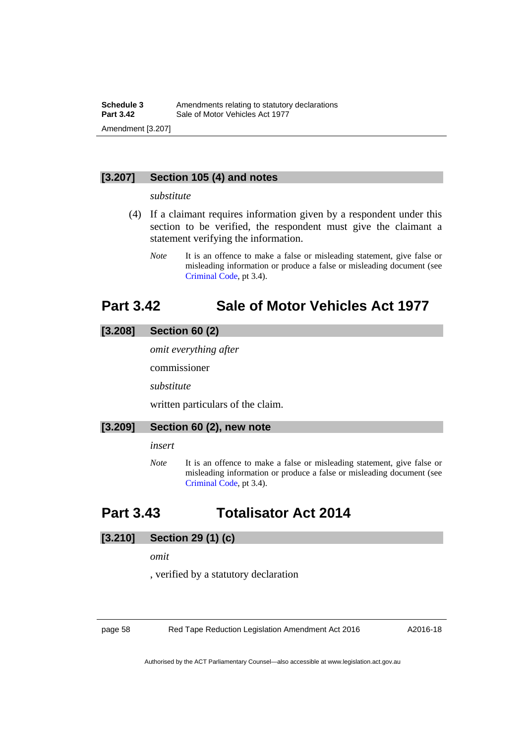### **[3.207] Section 105 (4) and notes**

#### *substitute*

- (4) If a claimant requires information given by a respondent under this section to be verified, the respondent must give the claimant a statement verifying the information.
	- *Note* It is an offence to make a false or misleading statement, give false or misleading information or produce a false or misleading document (see [Criminal Code](http://www.legislation.act.gov.au/a/2002-51), pt 3.4).

# **Part 3.42 Sale of Motor Vehicles Act 1977**

## **[3.208] Section 60 (2)**

*omit everything after* 

commissioner

*substitute* 

written particulars of the claim.

#### **[3.209] Section 60 (2), new note**

*insert* 

*Note* It is an offence to make a false or misleading statement, give false or misleading information or produce a false or misleading document (see [Criminal Code](http://www.legislation.act.gov.au/a/2002-51), pt 3.4).

# **Part 3.43 Totalisator Act 2014**

### **[3.210] Section 29 (1) (c)**

*omit* 

, verified by a statutory declaration

page 58 Red Tape Reduction Legislation Amendment Act 2016

A2016-18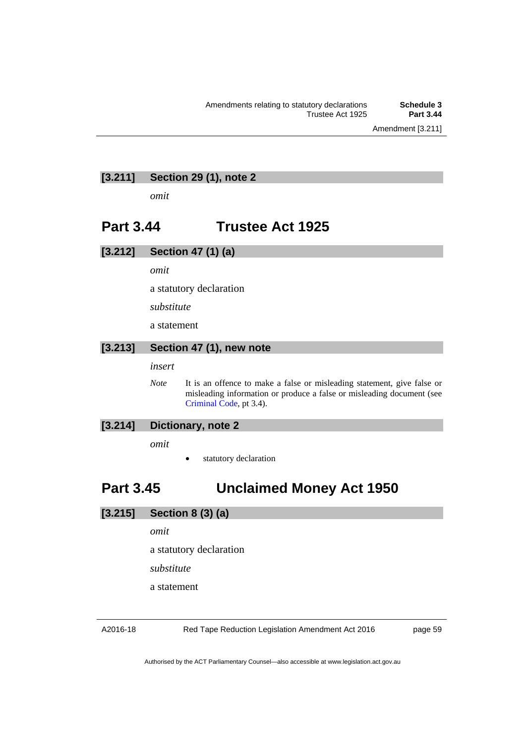Amendment [3.211]

### **[3.211] Section 29 (1), note 2**

*omit* 

# **Part 3.44 Trustee Act 1925**

#### **[3.212] Section 47 (1) (a)**

*omit* 

a statutory declaration

*substitute* 

a statement

#### **[3.213] Section 47 (1), new note**

*insert* 

*Note* It is an offence to make a false or misleading statement, give false or misleading information or produce a false or misleading document (see [Criminal Code](http://www.legislation.act.gov.au/a/2002-51), pt 3.4).

### **[3.214] Dictionary, note 2**

*omit* 

statutory declaration

# **Part 3.45 Unclaimed Money Act 1950**

### **[3.215] Section 8 (3) (a)**

*omit* 

a statutory declaration

*substitute* 

a statement

Red Tape Reduction Legislation Amendment Act 2016

page 59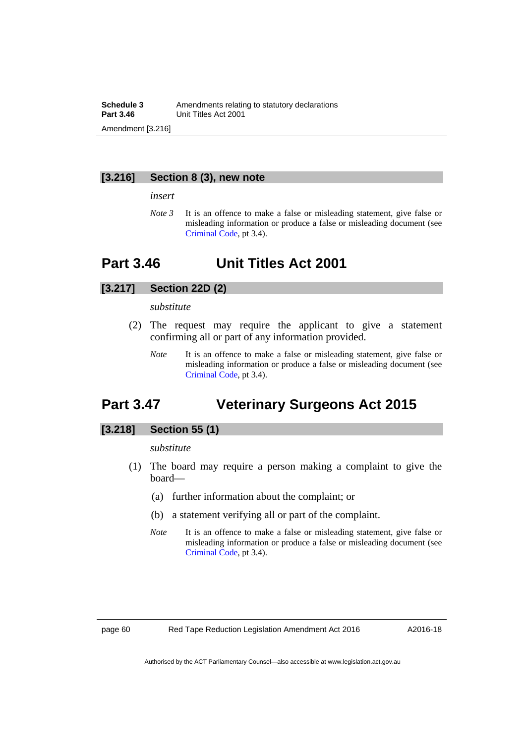#### **Schedule 3** Amendments relating to statutory declarations<br>**Part 3.46** Unit Titles Act 2001 **Part 3.46** Unit Titles Act 2001 Amendment [3.216]

#### **[3.216] Section 8 (3), new note**

*insert* 

*Note 3* It is an offence to make a false or misleading statement, give false or misleading information or produce a false or misleading document (see [Criminal Code](http://www.legislation.act.gov.au/a/2002-51), pt 3.4).

# **Part 3.46 Unit Titles Act 2001**

### **[3.217] Section 22D (2)**

#### *substitute*

- (2) The request may require the applicant to give a statement confirming all or part of any information provided.
	- *Note* It is an offence to make a false or misleading statement, give false or misleading information or produce a false or misleading document (see [Criminal Code](http://www.legislation.act.gov.au/a/2002-51), pt 3.4).

# **Part 3.47 Veterinary Surgeons Act 2015**

### **[3.218] Section 55 (1)**

*substitute* 

- (1) The board may require a person making a complaint to give the board—
	- (a) further information about the complaint; or
	- (b) a statement verifying all or part of the complaint.
	- *Note* It is an offence to make a false or misleading statement, give false or misleading information or produce a false or misleading document (see [Criminal Code](http://www.legislation.act.gov.au/a/2002-51), pt 3.4).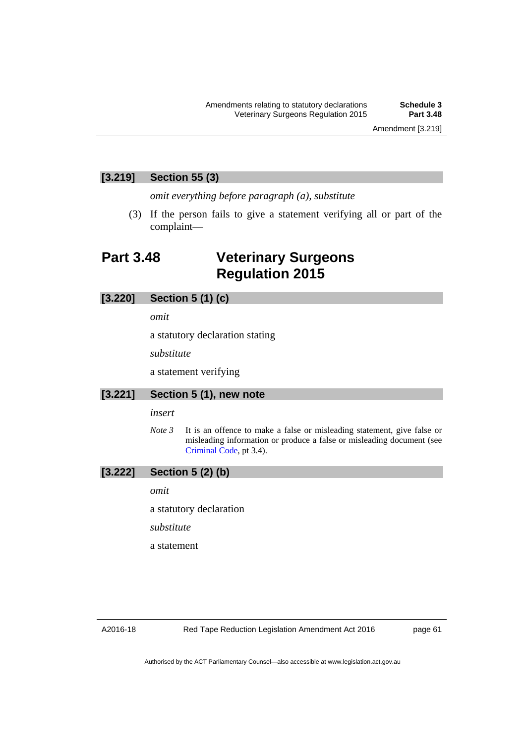### **[3.219] Section 55 (3)**

*omit everything before paragraph (a), substitute* 

 (3) If the person fails to give a statement verifying all or part of the complaint—

# **Part 3.48 Veterinary Surgeons Regulation 2015**

### **[3.220] Section 5 (1) (c)**

*omit* 

a statutory declaration stating

*substitute* 

a statement verifying

#### **[3.221] Section 5 (1), new note**

#### *insert*

*Note 3* It is an offence to make a false or misleading statement, give false or misleading information or produce a false or misleading document (see [Criminal Code](http://www.legislation.act.gov.au/a/2002-51), pt 3.4).

### **[3.222] Section 5 (2) (b)**

*omit* 

a statutory declaration

*substitute* 

a statement

page 61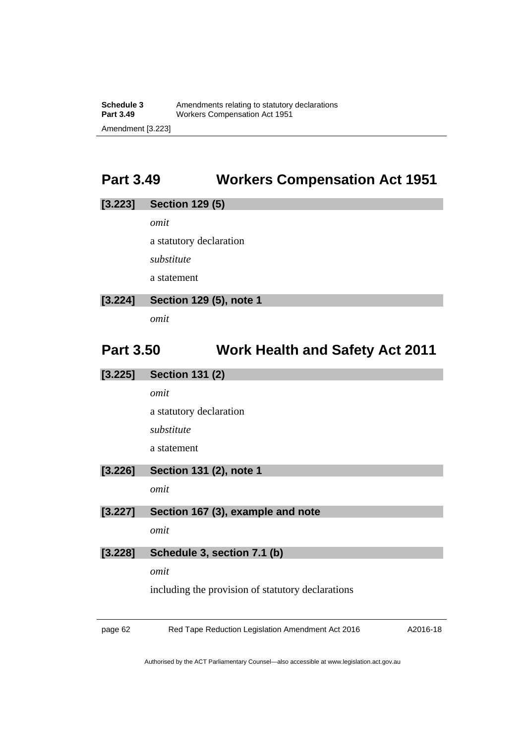# **Part 3.49 Workers Compensation Act 1951**

# **[3.223] Section 129 (5)**  *omit*  a statutory declaration *substitute*  a statement **[3.224] Section 129 (5), note 1**

*omit* 

# **Part 3.50 Work Health and Safety Act 2011**

| [3.225] | <b>Section 131 (2)</b>                            |
|---------|---------------------------------------------------|
|         | omit                                              |
|         | a statutory declaration                           |
|         | substitute                                        |
|         | a statement                                       |
| [3.226] | Section 131 (2), note 1                           |
|         | omit                                              |
| [3.227] | Section 167 (3), example and note                 |
|         | omit                                              |
| [3.228] | Schedule 3, section 7.1 (b)                       |
|         | omit                                              |
|         | including the provision of statutory declarations |
|         |                                                   |

page 62 Red Tape Reduction Legislation Amendment Act 2016

A2016-18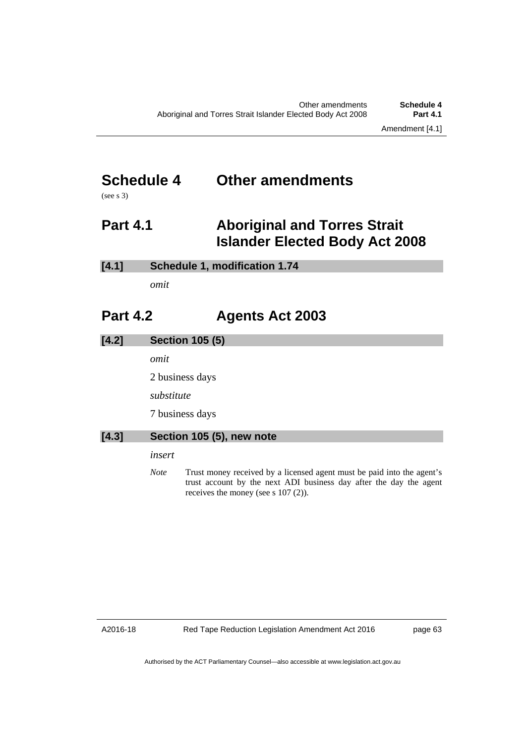# **Schedule 4 Other amendments**

(see s 3)

# **Part 4.1 Aboriginal and Torres Strait Islander Elected Body Act 2008**

*omit* 

# **Part 4.2 Agents Act 2003**

| [4.2] | <b>Section 105 (5)</b>                                                                                                       |
|-------|------------------------------------------------------------------------------------------------------------------------------|
|       | omit                                                                                                                         |
|       | 2 business days                                                                                                              |
|       | substitute                                                                                                                   |
|       | 7 business days                                                                                                              |
| [4.3] | Section 105 (5), new note                                                                                                    |
|       | insert                                                                                                                       |
|       | льной процесс просто в 11 март 11 марта 11 марта 11 марта 11 март 11 март 11 март 11 март 11 марта 12 марта 1<br>$\lambda T$ |

*Note* Trust money received by a licensed agent must be paid into the agent's trust account by the next ADI business day after the day the agent receives the money (see s 107 (2)).

A2016-18

Red Tape Reduction Legislation Amendment Act 2016

page 63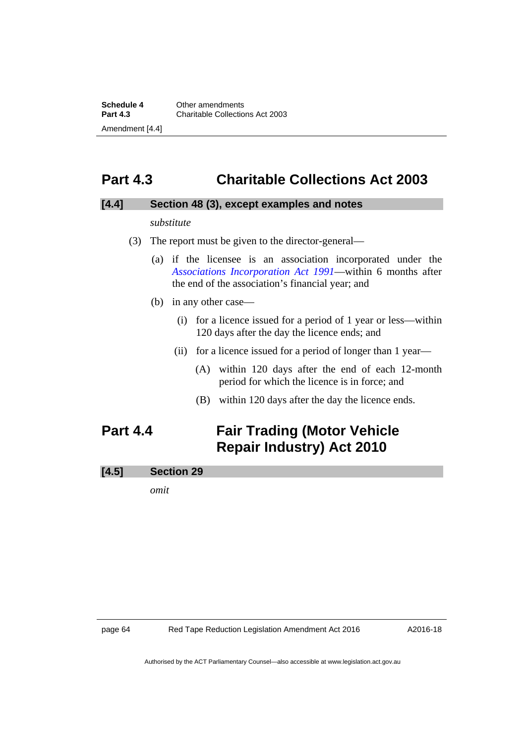## **Part 4.3 Charitable Collections Act 2003**

### **[4.4] Section 48 (3), except examples and notes**

#### *substitute*

- (3) The report must be given to the director-general—
	- (a) if the licensee is an association incorporated under the *[Associations Incorporation Act 1991](http://www.legislation.act.gov.au/a/1991-46/default.asp)*—within 6 months after the end of the association's financial year; and
	- (b) in any other case—
		- (i) for a licence issued for a period of 1 year or less—within 120 days after the day the licence ends; and
		- (ii) for a licence issued for a period of longer than 1 year—
			- (A) within 120 days after the end of each 12-month period for which the licence is in force; and
			- (B) within 120 days after the day the licence ends.

# **Part 4.4 Fair Trading (Motor Vehicle Repair Industry) Act 2010**

### **[4.5] Section 29**

*omit*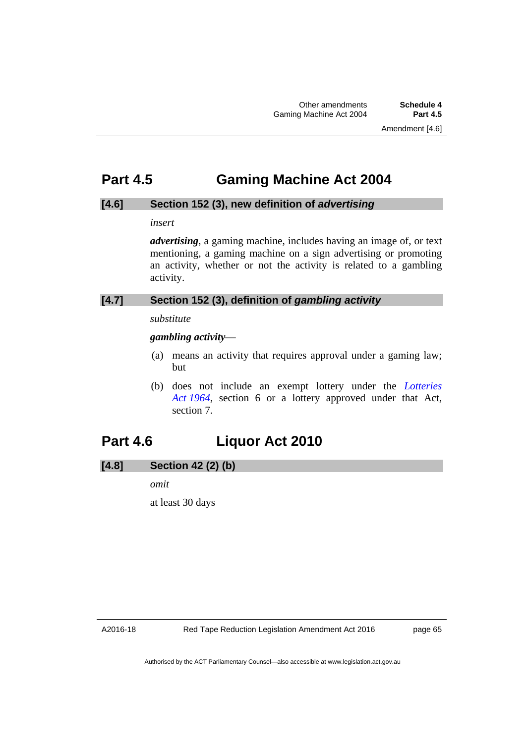# **Part 4.5 Gaming Machine Act 2004**

### **[4.6] Section 152 (3), new definition of** *advertising*

*insert* 

*advertising*, a gaming machine, includes having an image of, or text mentioning, a gaming machine on a sign advertising or promoting an activity, whether or not the activity is related to a gambling activity.

## **[4.7] Section 152 (3), definition of** *gambling activity*

### *substitute*

*gambling activity*—

- (a) means an activity that requires approval under a gaming law; but
- (b) does not include an exempt lottery under the *[Lotteries](http://www.legislation.act.gov.au/a/1964-13)  [Act 1964](http://www.legislation.act.gov.au/a/1964-13)*, section 6 or a lottery approved under that Act, section 7.

# **Part 4.6 Liquor Act 2010**

## **[4.8] Section 42 (2) (b)**

*omit* 

at least 30 days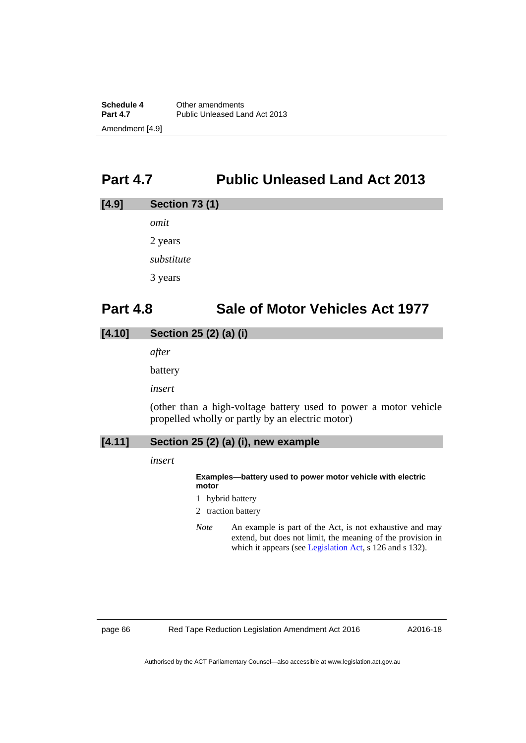# **Part 4.7 Public Unleased Land Act 2013**

# **[4.9] Section 73 (1)**

*omit*  2 years *substitute*  3 years

# **Part 4.8 Sale of Motor Vehicles Act 1977**

## **[4.10] Section 25 (2) (a) (i)**

*after* 

battery

*insert* 

(other than a high-voltage battery used to power a motor vehicle propelled wholly or partly by an electric motor)

## **[4.11] Section 25 (2) (a) (i), new example**

*insert* 

#### **Examples—battery used to power motor vehicle with electric motor**

- 1 hybrid battery
- 2 traction battery
- *Note* An example is part of the Act, is not exhaustive and may extend, but does not limit, the meaning of the provision in which it appears (see [Legislation Act,](http://www.legislation.act.gov.au/a/2001-14) s 126 and s 132).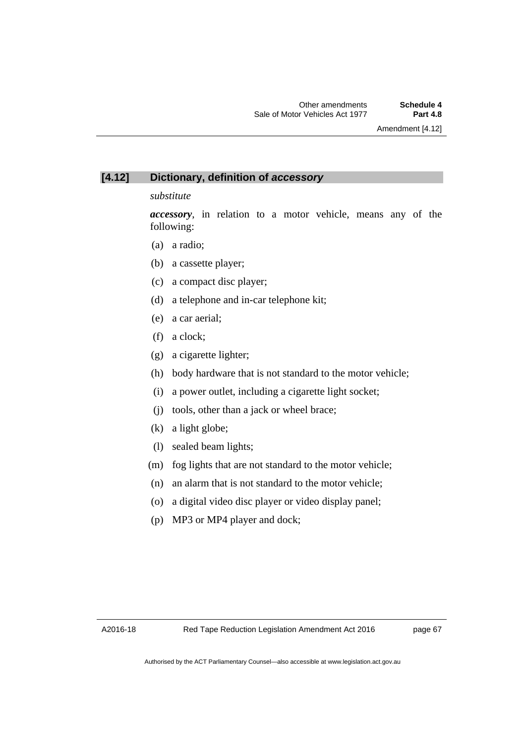### **[4.12] Dictionary, definition of** *accessory*

#### *substitute*

*accessory*, in relation to a motor vehicle, means any of the following:

- (a) a radio;
- (b) a cassette player;
- (c) a compact disc player;
- (d) a telephone and in-car telephone kit;
- (e) a car aerial;
- (f) a clock;
- (g) a cigarette lighter;
- (h) body hardware that is not standard to the motor vehicle;
- (i) a power outlet, including a cigarette light socket;
- (j) tools, other than a jack or wheel brace;
- (k) a light globe;
- (l) sealed beam lights;
- (m) fog lights that are not standard to the motor vehicle;
- (n) an alarm that is not standard to the motor vehicle;
- (o) a digital video disc player or video display panel;
- (p) MP3 or MP4 player and dock;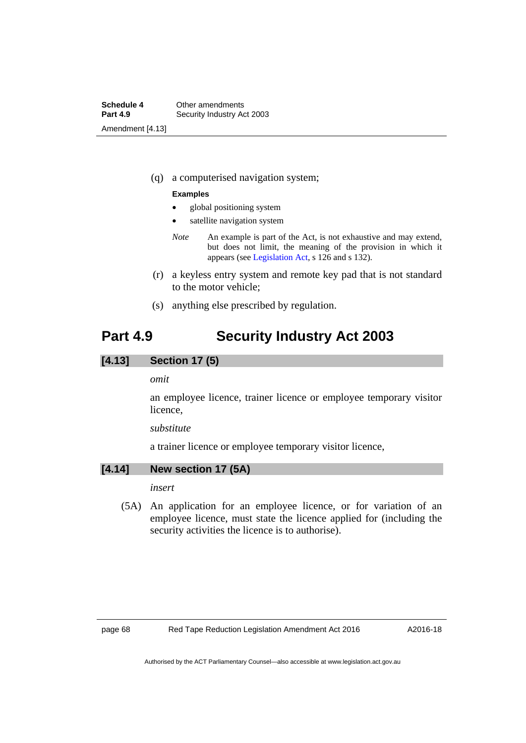(q) a computerised navigation system;

#### **Examples**

- global positioning system
- satellite navigation system
- *Note* An example is part of the Act, is not exhaustive and may extend, but does not limit, the meaning of the provision in which it appears (see [Legislation Act,](http://www.legislation.act.gov.au/a/2001-14) s 126 and s 132).
- (r) a keyless entry system and remote key pad that is not standard to the motor vehicle;
- (s) anything else prescribed by regulation.

## **Part 4.9 Security Industry Act 2003**

### **[4.13] Section 17 (5)**

#### *omit*

an employee licence, trainer licence or employee temporary visitor licence,

#### *substitute*

a trainer licence or employee temporary visitor licence,

### **[4.14] New section 17 (5A)**

*insert* 

 (5A) An application for an employee licence, or for variation of an employee licence, must state the licence applied for (including the security activities the licence is to authorise).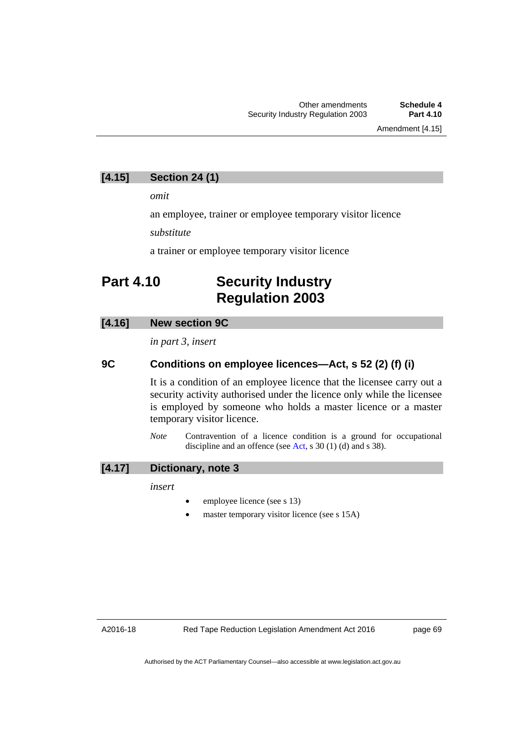### **[4.15] Section 24 (1)**

*omit* 

an employee, trainer or employee temporary visitor licence

*substitute* 

a trainer or employee temporary visitor licence

# **Part 4.10 Security Industry Regulation 2003**

#### **[4.16] New section 9C**

*in part 3, insert* 

#### **9C Conditions on employee licences—Act, s 52 (2) (f) (i)**

It is a condition of an employee licence that the licensee carry out a security activity authorised under the licence only while the licensee is employed by someone who holds a master licence or a master temporary visitor licence.

*Note* Contravention of a licence condition is a ground for occupational discipline and an offence (see [Act,](http://www.legislation.act.gov.au/a/2003-4/default.asp) s 30 (1) (d) and s 38).

#### **[4.17] Dictionary, note 3**

*insert* 

- employee licence (see s 13)
- master temporary visitor licence (see s 15A)